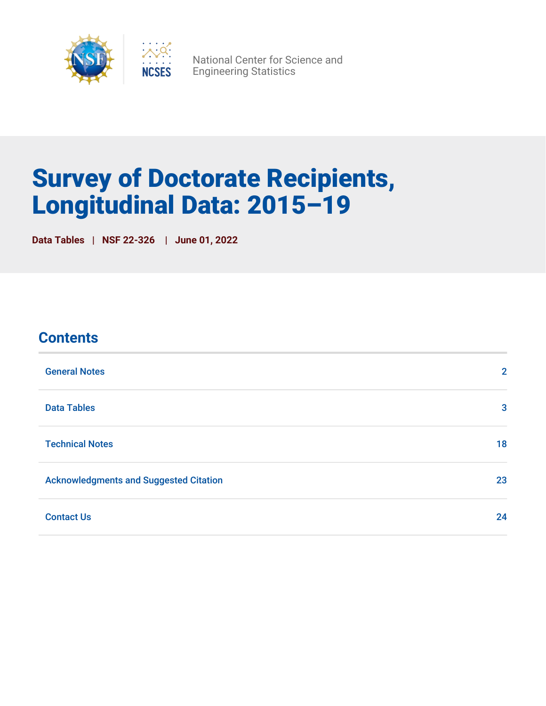

National Center for Science and Engineering Statistics

# Survey of Doctorate Recipients, Longitudinal Data: 2015–19

**Data Tables | NSF 22-326 | June 01, 2022**

| <b>Contents</b>                               |              |
|-----------------------------------------------|--------------|
| <b>General Notes</b>                          | $\mathbf{2}$ |
| <b>Data Tables</b>                            | 3            |
| <b>Technical Notes</b>                        | 18           |
| <b>Acknowledgments and Suggested Citation</b> | 23           |
| <b>Contact Us</b>                             | 24           |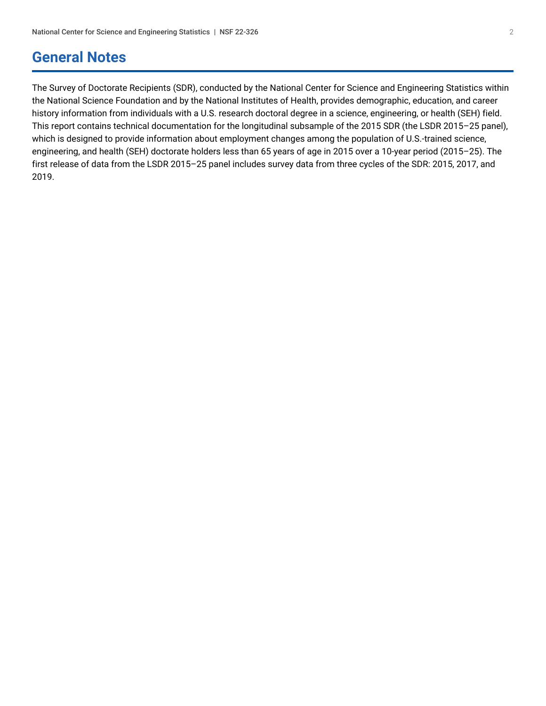## <span id="page-1-0"></span>**General Notes**

The Survey of Doctorate Recipients (SDR), conducted by the National Center for Science and Engineering Statistics within the National Science Foundation and by the National Institutes of Health, provides demographic, education, and career history information from individuals with a U.S. research doctoral degree in a science, engineering, or health (SEH) field. This report contains technical documentation for the longitudinal subsample of the 2015 SDR (the LSDR 2015–25 panel), which is designed to provide information about employment changes among the population of U.S.-trained science, engineering, and health (SEH) doctorate holders less than 65 years of age in 2015 over a 10-year period (2015–25). The first release of data from the LSDR 2015–25 panel includes survey data from three cycles of the SDR: 2015, 2017, and 2019.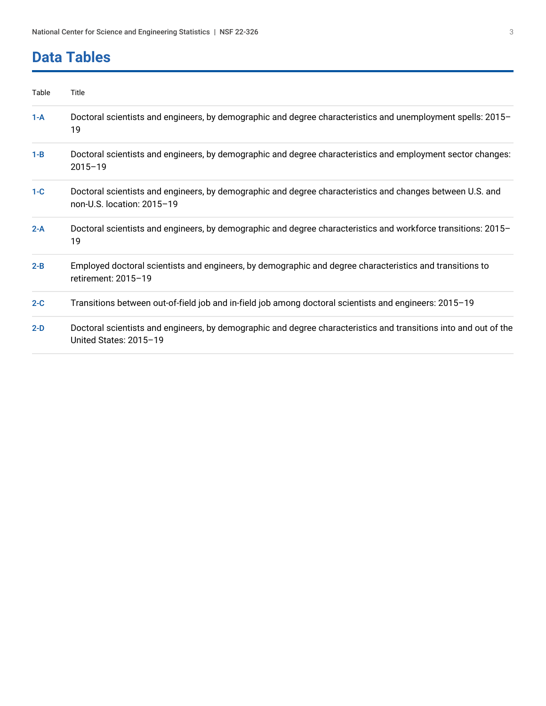## <span id="page-2-0"></span>**Data Tables**

| Table   | Title                                                                                                                                      |
|---------|--------------------------------------------------------------------------------------------------------------------------------------------|
| $1-A$   | Doctoral scientists and engineers, by demographic and degree characteristics and unemployment spells: 2015–<br>19                          |
| $1 - B$ | Doctoral scientists and engineers, by demographic and degree characteristics and employment sector changes:<br>$2015 - 19$                 |
| $1-C$   | Doctoral scientists and engineers, by demographic and degree characteristics and changes between U.S. and<br>non-U.S. location: 2015-19    |
| $2-A$   | Doctoral scientists and engineers, by demographic and degree characteristics and workforce transitions: 2015-<br>19                        |
| $2 - B$ | Employed doctoral scientists and engineers, by demographic and degree characteristics and transitions to<br>retirement: 2015-19            |
| $2-C$   | Transitions between out-of-field job and in-field job among doctoral scientists and engineers: 2015-19                                     |
| $2-D$   | Doctoral scientists and engineers, by demographic and degree characteristics and transitions into and out of the<br>United States: 2015-19 |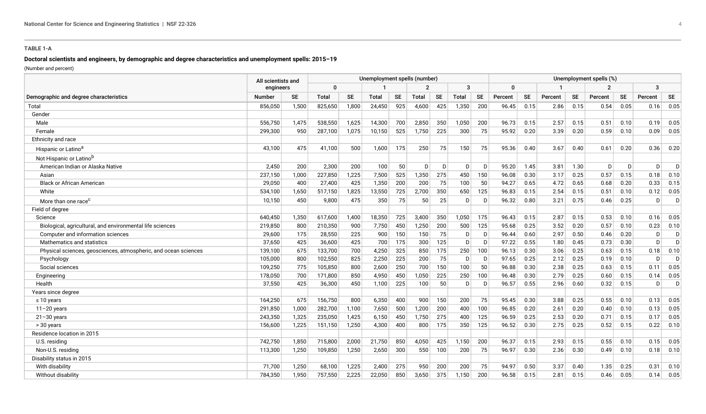#### **TABLE 1-A**

#### **Doctoral scientists and engineers, by demographic and degree characteristics and unemployment spells: 2015–19**

(Number and percent)

<span id="page-3-0"></span>

|                                                                 |               | All scientists and |              |           | Unemployment spells (number) |           |              |           |              |           |          |           |         |           | Unemployment spells (%) |           |         |           |
|-----------------------------------------------------------------|---------------|--------------------|--------------|-----------|------------------------------|-----------|--------------|-----------|--------------|-----------|----------|-----------|---------|-----------|-------------------------|-----------|---------|-----------|
|                                                                 | engineers     |                    | 0            |           |                              |           |              |           | 3            |           | $\Omega$ |           |         |           | $\overline{2}$          |           | 3       |           |
| Demographic and degree characteristics                          | <b>Number</b> | <b>SE</b>          | <b>Total</b> | <b>SE</b> | <b>Total</b>                 | <b>SE</b> | <b>Total</b> | <b>SE</b> | <b>Total</b> | <b>SE</b> | Percent  | <b>SE</b> | Percent | <b>SE</b> | Percent                 | <b>SE</b> | Percent | <b>SE</b> |
| Total                                                           | 856,050       | 1,500              | 825,650      | 1,800     | 24,450                       | 925       | 4,600        | 425       | 1,350        | 200       | 96.45    | 0.15      | 2.86    | 0.15      | 0.54                    | 0.05      | 0.16    | 0.05      |
| Gender                                                          |               |                    |              |           |                              |           |              |           |              |           |          |           |         |           |                         |           |         |           |
| Male                                                            | 556,750       | 1,475              | 538,550      | 1,625     | 14,300                       | 700       | 2,850        | 350       | 1,050        | 200       | 96.73    | 0.15      | 2.57    | 0.15      | 0.51                    | 0.10      | 0.19    | 0.05      |
| Female                                                          | 299,300       | 950                | 287,100      | 1,075     | 10,150                       | 525       | 1,750        | 225       | 300          | 75        | 95.92    | 0.20      | 3.39    | 0.20      | 0.59                    | 0.10      | 0.09    | 0.05      |
| Ethnicity and race                                              |               |                    |              |           |                              |           |              |           |              |           |          |           |         |           |                         |           |         |           |
| Hispanic or Latino <sup>a</sup>                                 | 43,100        | 475                | 41,100       | 500       | 1,600                        | 175       | 250          | 75        | 150          | 75        | 95.36    | 0.40      | 3.67    | 0.40      | 0.61                    | 0.20      | 0.36    | 0.20      |
| Not Hispanic or Latino <sup>b</sup>                             |               |                    |              |           |                              |           |              |           |              |           |          |           |         |           |                         |           |         |           |
| American Indian or Alaska Native                                | 2,450         | 200                | 2,300        | 200       | 100                          | 50        | D            | D         | D.           | D         | 95.20    | 1.45      | 3.81    | 1.30      | D                       | D         | D       | D         |
| Asian                                                           | 237,150       | 1.000              | 227,850      | 1,225     | 7,500                        | 525       | 1,350        | 275       | 450          | 150       | 96.08    | 0.30      | 3.17    | 0.25      | 0.57                    | 0.15      | 0.18    | 0.10      |
| <b>Black or African American</b>                                | 29,050        | 400                | 27,400       | 425       | 1,350                        | 200       | 200          | 75        | 100          | 50        | 94.27    | 0.65      | 4.72    | 0.65      | 0.68                    | 0.20      | 0.33    | 0.15      |
| White                                                           | 534,100       | 1,650              | 517,150      | 1,825     | 13,550                       | 725       | 2,700        | 350       | 650          | 125       | 96.83    | 0.15      | 2.54    | 0.15      | 0.51                    | 0.10      | 0.12    | 0.05      |
| More than one race <sup>c</sup>                                 | 10,150        | 450                | 9,800        | 475       | 350                          | 75        | 50           | 25        | D            | D         | 96.32    | 0.80      | 3.21    | 0.75      | 0.46                    | 0.25      | D       | D         |
| Field of degree                                                 |               |                    |              |           |                              |           |              |           |              |           |          |           |         |           |                         |           |         |           |
| Science                                                         | 640,450       | 1,350              | 617,600      | 1,400     | 18,350                       | 725       | 3,400        | 350       | 1,050        | 175       | 96.43    | 0.15      | 2.87    | 0.15      | 0.53                    | 0.10      | 0.16    | 0.05      |
| Biological, agricultural, and environmental life sciences       | 219,850       | 800                | 210,350      | 900       | 7,750                        | 450       | 1,250        | 200       | 500          | 125       | 95.68    | 0.25      | 3.52    | 0.20      | 0.57                    | 0.10      | 0.23    | 0.10      |
| Computer and information sciences                               | 29,600        | 175                | 28,550       | 225       | 900                          | 150       | 150          | 75        | D            | D         | 96.44    | 0.60      | 2.97    | 0.50      | 0.46                    | 0.20      | D       | D         |
| Mathematics and statistics                                      | 37,650        | 425                | 36,600       | 425       | 700                          | 175       | 300          | 125       | D            | D         | 97.22    | 0.55      | 1.80    | 0.45      | 0.73                    | 0.30      | D       | D.        |
| Physical sciences, geosciences, atmospheric, and ocean sciences | 139,100       | 675                | 133,700      | 700       | 4,250                        | 325       | 850          | 175       | 250          | 100       | 96.13    | 0.30      | 3.06    | 0.25      | 0.63                    | 0.15      | 0.18    | 0.10      |
| Psychology                                                      | 105,000       | 800                | 102,550      | 825       | 2,250                        | 225       | 200          | 75        | $\mathsf{D}$ | D         | 97.65    | 0.25      | 2.12    | 0.25      | 0.19                    | 0.10      | D       | D         |
| Social sciences                                                 | 109,250       | 775                | 105,850      | 800       | 2,600                        | 250       | 700          | 150       | 100          | 50        | 96.88    | 0.30      | 2.38    | 0.25      | 0.63                    | 0.15      | 0.11    | 0.05      |
| Engineering                                                     | 178,050       | 700                | 171,800      | 850       | 4,950                        | 450       | 1,050        | 225       | 250          | 100       | 96.48    | 0.30      | 2.79    | 0.25      | 0.60                    | 0.15      | 0.14    | 0.05      |
| Health                                                          | 37,550        | 425                | 36,300       | 450       | 1,100                        | 225       | 100          | 50        | D            | D         | 96.57    | 0.55      | 2.96    | 0.60      | 0.32                    | 0.15      | D       | D         |
| Years since degree                                              |               |                    |              |           |                              |           |              |           |              |           |          |           |         |           |                         |           |         |           |
| $\leq 10$ years                                                 | 164,250       | 675                | 156,750      | 800       | 6,350                        | 400       | 900          | 150       | 200          | 75        | 95.45    | 0.30      | 3.88    | 0.25      | 0.55                    | 0.10      | 0.13    | 0.05      |
| $11 - 20$ years                                                 | 291,850       | 1,000              | 282,700      | 1,100     | 7,650                        | 500       | 1,200        | 200       | 400          | 100       | 96.85    | 0.20      | 2.61    | 0.20      | 0.40                    | 0.10      | 0.13    | 0.05      |
| $21 - 30$ years                                                 | 243,350       | 1,325              | 235,050      | 1,425     | 6,150                        | 450       | 1,750        | 275       | 400          | 125       | 96.59    | 0.25      | 2.53    | 0.20      | 0.71                    | 0.15      | 0.17    | 0.05      |
| > 30 years                                                      | 156,600       | 1,225              | 151,150      | 1,250     | 4,300                        | 400       | 800          | 175       | 350          | 125       | 96.52    | 0.30      | 2.75    | 0.25      | 0.52                    | 0.15      | 0.22    | 0.10      |
| Residence location in 2015                                      |               |                    |              |           |                              |           |              |           |              |           |          |           |         |           |                         |           |         |           |
| U.S. residing                                                   | 742.750       | 1.850              | 715,800      | 2,000     | 21,750                       | 850       | 4,050        | 425       | 1.150        | 200       | 96.37    | 0.15      | 2.93    | 0.15      | 0.55                    | 0.10      | 0.15    | 0.05      |
| Non-U.S. residing                                               | 113.300       | 1,250              | 109,850      | 1,250     | 2,650                        | 300       | 550          | 100       | 200          | 75        | 96.97    | 0.30      | 2.36    | 0.30      | 0.49                    | 0.10      | 0.18    | 0.10      |
| Disability status in 2015                                       |               |                    |              |           |                              |           |              |           |              |           |          |           |         |           |                         |           |         |           |
| With disability                                                 | 71.700        | 1,250              | 68,100       | 1,225     | 2,400                        | 275       | 950          | 200       | 200          | 75        | 94.97    | 0.50      | 3.37    | 0.40      | 1.35                    | 0.25      | 0.31    | 0.10      |
| Without disability                                              | 784.350       | 1.950              | 757,550      | 2,225     | 22,050                       | 850       | 3,650        | 375       | 1,150        | 200       | 96.58    | 0.15      | 2.81    | 0.15      | 0.46                    | 0.05      | 0.14    | 0.05      |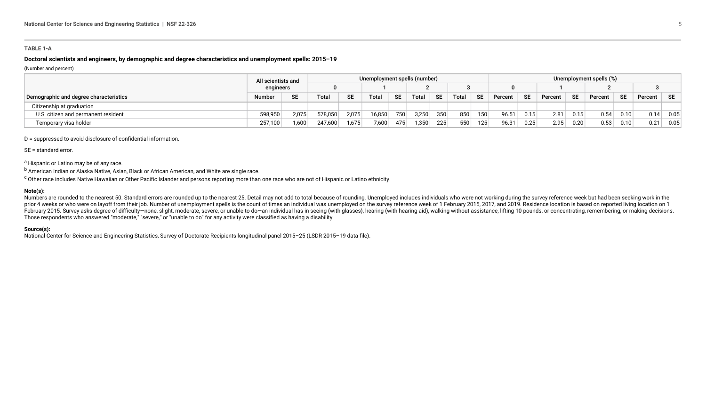#### **TABLE 1-A**

#### **Doctoral scientists and engineers, by demographic and degree characteristics and unemployment spells: 2015–19**

#### (Number and percent)

|                                        | All scientists and |           |         |           | Unemployment spells (number) |           |       |           |              |                  |         |           |         |           | Unemployment spells (%) |           |         |      |
|----------------------------------------|--------------------|-----------|---------|-----------|------------------------------|-----------|-------|-----------|--------------|------------------|---------|-----------|---------|-----------|-------------------------|-----------|---------|------|
|                                        | engineers          |           |         |           |                              |           |       |           |              |                  |         |           |         |           |                         |           |         |      |
| Demographic and degree characteristics | <b>Number</b>      | <b>SE</b> | Total   | <b>CF</b> | Total                        | <b>SE</b> | Total | <b>SE</b> | <b>Total</b> | <b>SE</b>        | Percent | <b>SE</b> | Percent | <b>SE</b> | Percent                 | <b>SE</b> | Percent | ∣ SE |
| Citizenship at graduation              |                    |           |         |           |                              |           |       |           |              |                  |         |           |         |           |                         |           |         |      |
| U.S. citizen and permanent resident    | 598,950            | 2,075     | 578,050 | 2,075     | 16,850                       | 750       | 3,250 | 350       | 850          | 150              | 96.51   | 0.15      | 2.81    | 0.15      | 0.54                    | 0.10      | 0.14    | 0.05 |
| Temporary visa holder                  | 257,100            | 1.600     | 247,600 | 1,675     | 7,600                        | 475       | 1,350 | 225       | 550          | 125 <sub>1</sub> | 96.31   | 0.25      | 2.95    | 0.20      | 0.53                    | 0.10      | 0.21    | 0.05 |

#### D = suppressed to avoid disclosure of confidential information.

#### SE = standard error.

a Hispanic or Latino may be of any race.

b American Indian or Alaska Native, Asian, Black or African American, and White are single race.

<sup>c</sup> Other race includes Native Hawaiian or Other Pacific Islander and persons reporting more than one race who are not of Hispanic or Latino ethnicity.

#### **Note(s):**

Numbers are rounded to the nearest 50. Standard errors are rounded up to the nearest 25. Detail may not add to total because of rounding. Unemployed includes individuals who were not working during the survey reference wee prior 4 weeks or who were on layoff from their job. Number of unemployment spells is the count of times an individual was unemployed on the survey reference week of 1 February 2015, 2017, and 2019. Residence location is ba February 2015. Survey asks degree of difficulty-none, slight, moderate, severe, or unable to do-an individual has in seeing (with glasses), hearing (with hearing aid), walking without assistance, lifting 10 pounds, or conc Those respondents who answered "moderate," "severe," or "unable to do" for any activity were classified as having a disability.

#### **Source(s):**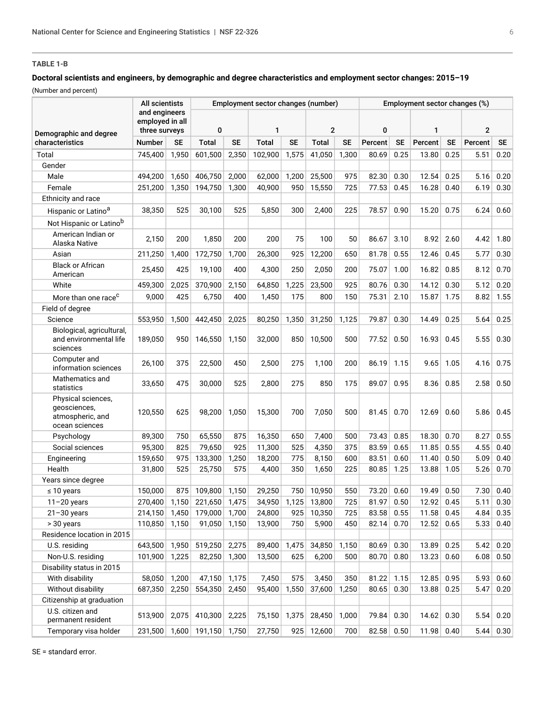#### <span id="page-5-0"></span>**TABLE 1-B**

#### **Doctoral scientists and engineers, by demographic and degree characteristics and employment sector changes: 2015–19**

(Number and percent)

|                                                                          | All scientists                                    |           |               |           | Employment sector changes (number) |           |              |           |         |           | Employment sector changes (%) |           |         |           |
|--------------------------------------------------------------------------|---------------------------------------------------|-----------|---------------|-----------|------------------------------------|-----------|--------------|-----------|---------|-----------|-------------------------------|-----------|---------|-----------|
| Demographic and degree                                                   | and engineers<br>employed in all<br>three surveys |           | 0             |           | 1                                  |           | $\mathbf{2}$ |           | 0       |           | 1                             |           | 2       |           |
| characteristics                                                          | <b>Number</b>                                     | <b>SE</b> | <b>Total</b>  | <b>SE</b> | <b>Total</b>                       | <b>SE</b> | Total        | <b>SE</b> | Percent | <b>SE</b> | Percent                       | <b>SE</b> | Percent | <b>SE</b> |
| Total                                                                    | 745,400                                           | 1,950     | 601,500       | 2,350     | 102,900                            | 1,575     | 41.050       | 1,300     | 80.69   | 0.25      | 13.80                         | 0.25      | 5.51    | 0.20      |
| Gender                                                                   |                                                   |           |               |           |                                    |           |              |           |         |           |                               |           |         |           |
| Male                                                                     | 494,200                                           | 1,650     | 406,750       | 2,000     | 62,000                             | 1,200     | 25,500       | 975       | 82.30   | 0.30      | 12.54                         | 0.25      | 5.16    | 0.20      |
| Female                                                                   | 251,200                                           | 1,350     | 194,750       | 1,300     | 40,900                             | 950       | 15,550       | 725       | 77.53   | 0.45      | 16.28                         | 0.40      | 6.19    | 0.30      |
| Ethnicity and race                                                       |                                                   |           |               |           |                                    |           |              |           |         |           |                               |           |         |           |
| Hispanic or Latino <sup>a</sup>                                          | 38,350                                            | 525       | 30.100        | 525       | 5,850                              | 300       | 2,400        | 225       | 78.57   | 0.90      | 15.20                         | 0.75      | 6.24    | 0.60      |
| Not Hispanic or Latino <sup>b</sup>                                      |                                                   |           |               |           |                                    |           |              |           |         |           |                               |           |         |           |
| American Indian or<br>Alaska Native                                      | 2,150                                             | 200       | 1,850         | 200       | 200                                | 75        | 100          | 50        | 86.67   | 3.10      | 8.92                          | 2.60      | 4.42    | 1.80      |
| Asian                                                                    | 211,250                                           | 1,400     | 172,750       | 1,700     | 26,300                             | 925       | 12,200       | 650       | 81.78   | 0.55      | 12.46                         | 0.45      | 5.77    | 0.30      |
| <b>Black or African</b><br>American                                      | 25,450                                            | 425       | 19,100        | 400       | 4,300                              | 250       | 2,050        | 200       | 75.07   | 1.00      | 16.82                         | 0.85      | 8.12    | 0.70      |
| White                                                                    | 459,300                                           | 2,025     | 370,900       | 2,150     | 64,850                             | 1,225     | 23,500       | 925       | 80.76   | 0.30      | 14.12                         | 0.30      | 5.12    | 0.20      |
| More than one race <sup>c</sup>                                          | 9,000                                             | 425       | 6,750         | 400       | 1,450                              | 175       | 800          | 150       | 75.31   | 2.10      | 15.87                         | 1.75      | 8.82    | 1.55      |
| Field of degree                                                          |                                                   |           |               |           |                                    |           |              |           |         |           |                               |           |         |           |
| Science                                                                  | 553,950                                           | 1,500     | 442,450       | 2,025     | 80,250                             | 1,350     | 31,250       | 1,125     | 79.87   | 0.30      | 14.49                         | 0.25      | 5.64    | 0.25      |
| Biological, agricultural,<br>and environmental life<br>sciences          | 189,050                                           | 950       | 146,550       | 1,150     | 32,000                             | 850       | 10,500       | 500       | 77.52   | 0.50      | 16.93                         | 0.45      | 5.55    | 0.30      |
| Computer and<br>information sciences                                     | 26,100                                            | 375       | 22,500        | 450       | 2,500                              | 275       | 1,100        | 200       | 86.19   | 1.15      | 9.65                          | 1.05      | 4.16    | 0.75      |
| Mathematics and<br>statistics                                            | 33,650                                            | 475       | 30,000        | 525       | 2,800                              | 275       | 850          | 175       | 89.07   | 0.95      | 8.36                          | 0.85      | 2.58    | 0.50      |
| Physical sciences,<br>geosciences,<br>atmospheric, and<br>ocean sciences | 120,550                                           | 625       | 98,200        | 1,050     | 15,300                             | 700       | 7,050        | 500       | 81.45   | 0.70      | 12.69                         | 0.60      | 5.86    | 0.45      |
| Psychology                                                               | 89,300                                            | 750       | 65,550        | 875       | 16,350                             | 650       | 7,400        | 500       | 73.43   | 0.85      | 18.30                         | 0.70      | 8.27    | 0.55      |
| Social sciences                                                          | 95,300                                            | 825       | 79,650        | 925       | 11,300                             | 525       | 4,350        | 375       | 83.59   | 0.65      | 11.85                         | 0.55      | 4.55    | 0.40      |
| Engineering                                                              | 159,650                                           | 975       | 133,300       | 1,250     | 18,200                             | 775       | 8,150        | 600       | 83.51   | 0.60      | 11.40                         | 0.50      | 5.09    | 0.40      |
| Health                                                                   | 31,800                                            | 525       | 25,750        | 575       | 4,400                              | 350       | 1,650        | 225       | 80.85   | 1.25      | 13.88                         | 1.05      | 5.26    | 0.70      |
| Years since degree                                                       |                                                   |           |               |           |                                    |           |              |           |         |           |                               |           |         |           |
| $\leq 10$ years                                                          | 150,000                                           | 875       | 109.800       | 1,150     | 29,250                             | 750       | 10,950       | 550       | 73.20   | 0.60      | 19.49                         | 0.50      | 7.30    | 0.40      |
| $11 - 20$ years                                                          | 270,400                                           | 1,150     | 221,650       | 1,475     | 34,950                             | 1,125     | 13,800       | 725       | 81.97   | 0.50      | 12.92                         | 0.45      | 5.11    | 0.30      |
| $21 - 30$ years                                                          | 214,150                                           | 1,450     | 179,000       | 1,700     | 24,800                             | 925       | 10,350       | 725       | 83.58   | 0.55      | 11.58                         | 0.45      | 4.84    | 0.35      |
| > 30 years                                                               | 110,850                                           | 1,150     | 91,050        | 1,150     | 13,900                             | 750       | 5,900        | 450       | 82.14   | 0.70      | 12.52                         | 0.65      | 5.33    | 0.40      |
| Residence location in 2015                                               |                                                   |           |               |           |                                    |           |              |           |         |           |                               |           |         |           |
| U.S. residing                                                            | 643,500                                           | 1,950     | 519,250       | 2,275     | 89,400                             | 1,475     | 34,850       | 1,150     | 80.69   | 0.30      | 13.89                         | 0.25      | 5.42    | 0.20      |
| Non-U.S. residing                                                        | 101,900                                           | 1,225     | 82,250        | 1,300     | 13,500                             | 625       | 6,200        | 500       | 80.70   | 0.80      | 13.23                         | 0.60      | 6.08    | 0.50      |
| Disability status in 2015                                                |                                                   |           |               |           |                                    |           |              |           |         |           |                               |           |         |           |
| With disability                                                          | 58,050                                            | 1,200     | 47,150        | 1,175     | 7,450                              | 575       | 3,450        | 350       | 81.22   | 1.15      | 12.85                         | 0.95      | 5.93    | 0.60      |
| Without disability                                                       | 687,350                                           | 2,250     | 554,350       | 2,450     | 95,400                             | 1,550     | 37,600       | 1,250     | 80.65   | 0.30      | 13.88                         | 0.25      | 5.47    | 0.20      |
| Citizenship at graduation                                                |                                                   |           |               |           |                                    |           |              |           |         |           |                               |           |         |           |
| U.S. citizen and<br>permanent resident                                   | 513,900                                           | 2,075     | 410,300       | 2,225     | 75,150                             | 1,375     | 28,450       | 1,000     | 79.84   | 0.30      | 14.62                         | 0.30      | 5.54    | 0.20      |
| Temporary visa holder                                                    | 231,500                                           |           | 1,600 191,150 | 1,750     | 27,750                             | 925       | 12,600       | 700       | 82.58   | 0.50      | 11.98                         | 0.40      | 5.44    | 0.30      |

SE = standard error.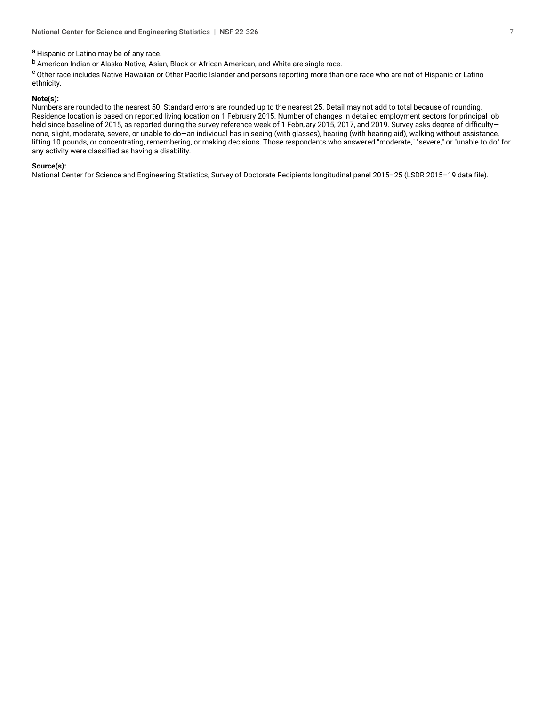a Hispanic or Latino may be of any race.

b American Indian or Alaska Native, Asian, Black or African American, and White are single race.

c Other race includes Native Hawaiian or Other Pacific Islander and persons reporting more than one race who are not of Hispanic or Latino ethnicity.

#### **Note(s):**

Numbers are rounded to the nearest 50. Standard errors are rounded up to the nearest 25. Detail may not add to total because of rounding. Residence location is based on reported living location on 1 February 2015. Number of changes in detailed employment sectors for principal job held since baseline of 2015, as reported during the survey reference week of 1 February 2015, 2017, and 2019. Survey asks degree of difficultynone, slight, moderate, severe, or unable to do—an individual has in seeing (with glasses), hearing (with hearing aid), walking without assistance, lifting 10 pounds, or concentrating, remembering, or making decisions. Those respondents who answered "moderate," "severe," or "unable to do" for any activity were classified as having a disability.

#### **Source(s):**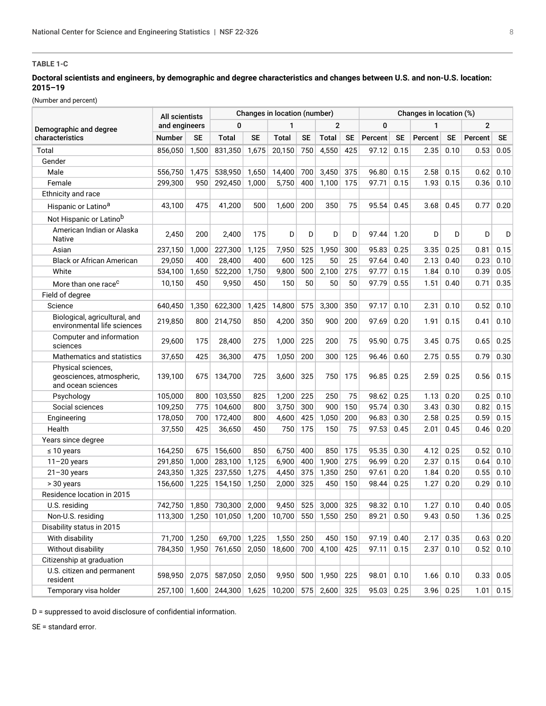#### <span id="page-7-0"></span>**TABLE 1-C**

#### **Doctoral scientists and engineers, by demographic and degree characteristics and changes between U.S. and non-U.S. location: 2015–19**

(Number and percent)

|                                                                       | All scientists |           |                      |           | Changes in location (number) |           |                |           |              |           | Changes in location (%) |             |                |           |
|-----------------------------------------------------------------------|----------------|-----------|----------------------|-----------|------------------------------|-----------|----------------|-----------|--------------|-----------|-------------------------|-------------|----------------|-----------|
| Demographic and degree                                                | and engineers  |           | $\bf{0}$             |           | 1                            |           | $\overline{2}$ |           | 0            |           | 1                       |             | $\overline{2}$ |           |
| characteristics                                                       | Number         | <b>SE</b> | <b>Total</b>         | <b>SE</b> | <b>Total</b>                 | <b>SE</b> | <b>Total</b>   | <b>SE</b> | Percent      | <b>SE</b> | Percent                 | SE          | Percent        | <b>SE</b> |
| Total                                                                 | 856,050        | 1,500     | 831,350              | 1,675     | 20,150                       | 750       | 4,550          | 425       | 97.12        | 0.15      | 2.35                    | 0.10        | 0.53           | 0.05      |
| Gender                                                                |                |           |                      |           |                              |           |                |           |              |           |                         |             |                |           |
| Male                                                                  | 556,750        | 1,475     | 538,950              | 1,650     | 14,400                       | 700       | 3,450          | 375       | 96.80        | 0.15      | 2.58                    | 0.15        | 0.62           | 0.10      |
| Female                                                                | 299,300        | 950       | 292,450              | 1,000     | 5,750                        | 400       | 1,100          | 175       | 97.71        | 0.15      | 1.93                    | 0.15        | 0.36           | 0.10      |
| Ethnicity and race                                                    |                |           |                      |           |                              |           |                |           |              |           |                         |             |                |           |
| Hispanic or Latino <sup>a</sup>                                       | 43,100         | 475       | 41.200               | 500       | 1,600                        | 200       | 350            | 75        | 95.54        | 0.45      | 3.68                    | 0.45        | 0.77           | 0.20      |
| Not Hispanic or Latinob                                               |                |           |                      |           |                              |           |                |           |              |           |                         |             |                |           |
| American Indian or Alaska<br>Native                                   | 2,450          | 200       | 2,400                | 175       | D                            | D         | D              | D         | 97.44        | 1.20      | D                       | D           | D              | D         |
| Asian                                                                 | 237,150        | 1,000     | 227,300              | 1,125     | 7,950                        | 525       | 1,950          | 300       | 95.83        | 0.25      | 3.35                    | 0.25        | 0.81           | 0.15      |
| <b>Black or African American</b>                                      | 29,050         | 400       | 28,400               | 400       | 600                          | 125       | 50             | 25        | 97.64        | 0.40      | 2.13                    | 0.40        | 0.23           | 0.10      |
| White                                                                 | 534,100        | 1,650     | 522,200              | 1,750     | 9,800                        | 500       | 2,100          | 275       | 97.77        | 0.15      | 1.84                    | 0.10        | 0.39           | 0.05      |
| More than one race <sup>c</sup>                                       | 10,150         | 450       | 9,950                | 450       | 150                          | 50        | 50             | 50        | 97.79        | 0.55      | 1.51                    | 0.40        | 0.71           | 0.35      |
| Field of degree                                                       |                |           |                      |           |                              |           |                |           |              |           |                         |             |                |           |
| Science                                                               | 640,450        | 1,350     | 622,300              | 1,425     | 14,800                       | 575       | 3,300          | 350       | 97.17        | 0.10      | 2.31                    | 0.10        | 0.52           | 0.10      |
| Biological, agricultural, and<br>environmental life sciences          | 219,850        | 800       | 214,750              | 850       | 4,200                        | 350       | 900            | 200       | 97.69        | 0.20      | 1.91                    | 0.15        | 0.41           | 0.10      |
| Computer and information<br>sciences                                  | 29,600         | 175       | 28,400               | 275       | 1,000                        | 225       | 200            | 75        | 95.90        | 0.75      | 3.45                    | 0.75        | 0.65           | 0.25      |
| Mathematics and statistics                                            | 37,650         | 425       | 36,300               | 475       | 1,050                        | 200       | 300            | 125       | 96.46        | 0.60      | 2.75                    | 0.55        | 0.79           | 0.30      |
| Physical sciences,<br>geosciences, atmospheric,<br>and ocean sciences | 139,100        | 675       | 134,700              | 725       | 3,600                        | 325       | 750            | 175       | 96.85        | 0.25      | 2.59                    | 0.25        | 0.56           | 0.15      |
| Psychology                                                            | 105,000        | 800       | 103,550              | 825       | 1,200                        | 225       | 250            | 75        | 98.62        | 0.25      | 1.13                    | 0.20        | 0.25           | 0.10      |
| Social sciences                                                       | 109,250        | 775       | 104,600              | 800       | 3,750                        | 300       | 900            | 150       | 95.74        | 0.30      | 3.43                    | 0.30        | 0.82           | 0.15      |
| Engineering                                                           | 178,050        | 700       | 172,400              | 800       | 4,600                        | 425       | 1,050          | 200       | 96.83        | 0.30      | 2.58                    | 0.25        | 0.59           | 0.15      |
| Health                                                                | 37,550         | 425       | 36,650               | 450       | 750                          | 175       | 150            | 75        | 97.53        | 0.45      | 2.01                    | 0.45        | 0.46           | 0.20      |
| Years since degree                                                    |                |           |                      |           |                              |           |                |           |              |           |                         |             |                |           |
| $\leq 10$ years                                                       | 164,250        | 675       | 156,600              | 850       | 6,750                        | 400       | 850            | 175       | 95.35        | 0.30      | 4.12                    | 0.25        | 0.52           | 0.10      |
| $11 - 20$ years                                                       | 291,850        | 1,000     | 283,100              | 1,125     | 6,900                        | 400       | 1,900          | 275       | 96.99        | 0.20      | 2.37                    | 0.15        | 0.64           | 0.10      |
| $21 - 30$ years                                                       | 243,350        | 1,325     | 237,550              | 1,275     | 4,450                        | 375       | 1,350          | 250       | 97.61        | 0.20      | 1.84                    | 0.20        | 0.55           | 0.10      |
| > 30 years                                                            | 156,600        | 1,225     | 154,150              | 1,250     | 2,000                        | 325       | 450            | 150       | 98.44        | 0.25      | 1.27                    | 0.20        | 0.29           | 0.10      |
| Residence location in 2015                                            |                |           |                      |           |                              |           |                |           |              |           |                         |             |                |           |
| U.S. residing                                                         | 742.750        | 1,850     | 730.300              | 2,000     | 9,450                        | 525       | 3,000          | 325       | 98.32        | 0.10      | 1.27                    | 0.10        | 0.40           | 0.05      |
| Non-U.S. residing                                                     | 113,300        | 1,250     | 101,050 1,200 10,700 |           |                              | 550       | 1,550          | 250       | 89.21        | 0.50      | 9.43                    | 0.50        | 1.36           | 0.25      |
| Disability status in 2015                                             |                |           |                      |           |                              |           |                |           |              |           |                         |             |                |           |
| With disability                                                       | 71,700         | 1,250     | 69,700 1,225         |           | 1,550                        | 250       | 450            | 150       | 97.19        | 0.40      | 2.17                    | 0.35        | 0.63           | 0.20      |
| Without disability                                                    | 784,350        | 1,950     | 761,650              | 2,050     | 18,600                       | 700       | 4,100          | 425       | 97.11        | 0.15      | 2.37                    | 0.10        | 0.52           | 0.10      |
| Citizenship at graduation                                             |                |           |                      |           |                              |           |                |           |              |           |                         |             |                |           |
| U.S. citizen and permanent<br>resident                                | 598,950        | 2,075     | 587,050              | 2,050     | 9,950                        |           | $500$ 1,950    | 225       | 98.01        | 0.10      | 1.66                    | 0.10        | 0.33           | 0.05      |
| Temporary visa holder                                                 | 257,100        | 1,600     | 244,300 1,625        |           | 10,200                       |           | $575$ 2,600    | 325       | 95.03   0.25 |           |                         | $3.96$ 0.25 | 1.01           | 0.15      |

D = suppressed to avoid disclosure of confidential information.

SE = standard error.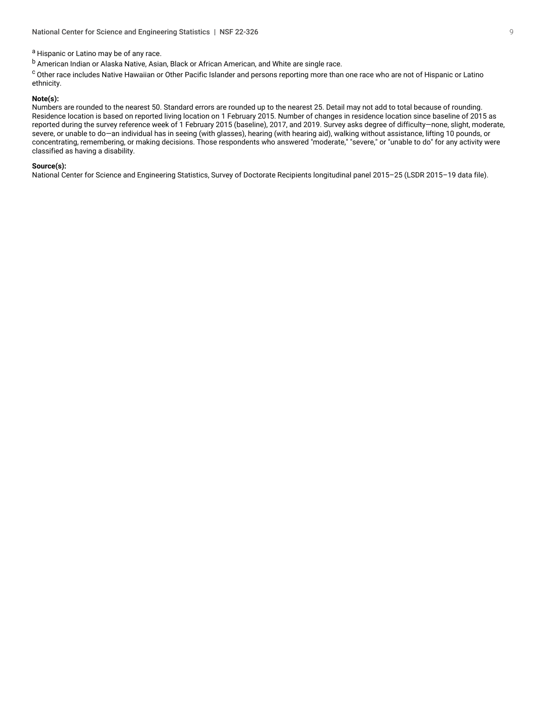#### a Hispanic or Latino may be of any race.

b American Indian or Alaska Native, Asian, Black or African American, and White are single race.

c Other race includes Native Hawaiian or Other Pacific Islander and persons reporting more than one race who are not of Hispanic or Latino ethnicity.

#### **Note(s):**

Numbers are rounded to the nearest 50. Standard errors are rounded up to the nearest 25. Detail may not add to total because of rounding. Residence location is based on reported living location on 1 February 2015. Number of changes in residence location since baseline of 2015 as reported during the survey reference week of 1 February 2015 (baseline), 2017, and 2019. Survey asks degree of difficulty—none, slight, moderate, severe, or unable to do—an individual has in seeing (with glasses), hearing (with hearing aid), walking without assistance, lifting 10 pounds, or concentrating, remembering, or making decisions. Those respondents who answered "moderate," "severe," or "unable to do" for any activity were classified as having a disability.

#### **Source(s):**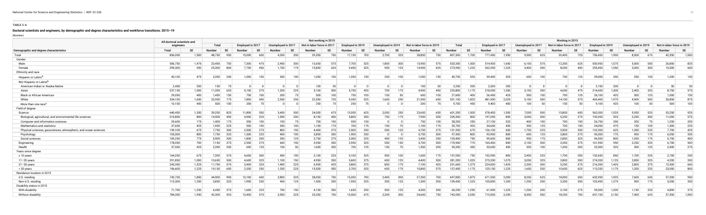#### **TABLE 2-A**

#### **Doctoral scientists and engineers, by demographic and degree characteristics and workforce transitions: 2015–19**

(Number)

**College** 

<span id="page-9-0"></span>

|                                                                 | All doctoral scientists and |       |               |           |                     |                    |            |               | Not working in 2015        |                  |           |                    |                 |                            |     |         |       |                  |       |                    |     | Working in 2015            |           |                  |       |                    |     |                            |           |
|-----------------------------------------------------------------|-----------------------------|-------|---------------|-----------|---------------------|--------------------|------------|---------------|----------------------------|------------------|-----------|--------------------|-----------------|----------------------------|-----|---------|-------|------------------|-------|--------------------|-----|----------------------------|-----------|------------------|-------|--------------------|-----|----------------------------|-----------|
|                                                                 | engineers                   |       | <b>Total</b>  |           | Employed in 2017    | Unemployed in 2017 |            |               | Not in labor force in 2017 | Employed in 2019 |           | Unemployed in 2019 |                 | Not in labor force in 2019 |     | Total   |       | Employed in 2017 |       | Unemployed in 2017 |     | Not in labor force in 2017 |           | Employed in 2019 |       | Unemployed in 2019 |     | Not in labor force in 2019 |           |
| Demographic and degree characteristics                          | Total                       |       | <b>Number</b> | <b>SE</b> | <b>SE</b><br>Number | Number             |            | <b>Jumber</b> |                            | lumber           | <b>SE</b> |                    | <b>SE</b>       |                            |     | Number  |       | Number           | SЕ    | Number             |     | <b>Number</b>              | <b>SE</b> | Number           |       | Number             |     | <b>Number</b>              | <b>SE</b> |
| Total                                                           | 856,050                     | 1,500 | 48,750        | 950       | 15,000<br>600       | 4,200              | 350        | 29,550        | 750                        | 17,150           | 700       | 2,700              | 325             | 28,850                     | 750 | 807,300 | 1.700 | 777,450          | 1,950 | 9,500              | 625 | 20,400                     | 725       | 756,450          | 1.900 | 8,500              | 675 | 42,350                     | 1,000     |
| Gender                                                          |                             |       |               |           |                     |                    |            |               |                            |                  |           |                    |                 |                            |     |         |       |                  |       |                    |     |                            |           |                  |       |                    |     |                            |           |
| Male                                                            | 556,750                     | 1,475 | 23,450        | 750       | 7.300<br>475        | 2,450              | 300        | 13,650        | 575                        | 7,700            | 525       | ∣ 800. ا           | 300             | 13,950                     | 575 | 533,350 | 1.500 | 514,900          | 1,650 | 6,100              | 575 | 12,350                     | 625       | 500,950          | 1.575 | 5,500              | 550 | 26,850                     | 825       |
| Female                                                          | 299,300                     | 950   | 25,300        | 800       | 7,700<br>450        | 1,750              | 175        | 15,850        | 625                        | 9,450            | 525       | 950                | 125             | 14,900                     | 625 | 273,950 | 1,225 | 262,550          | 1,225 | 3,400              | 300 | 8,050                      | 400       | 255,450          | 1,350 | 3,000              | 300 | 15,500                     | 600       |
| Ethnicity and race                                              |                             |       |               |           |                     |                    |            |               |                            |                  |           |                    |                 |                            |     |         |       |                  |       |                    |     |                            |           |                  |       |                    |     |                            |           |
| Hispanic or Latino <sup>®</sup>                                 | 43,100                      | 475   | 2,350         | 200       | 1.000<br>150        |                    | 100<br>300 |               | 1,050<br>150               | 1,050            | 150       | 250                | 100             | 1,050                      | 150 | 40,750  | 525   | 39,400           | 525   | 650                | 100 | 750                        | 125       | 39,000           | 550   | 550                | 100 | 1,200                      | 150       |
| Not Hispanic or Latino <sup>n</sup>                             |                             |       |               |           |                     |                    |            |               |                            |                  |           |                    |                 |                            |     |         |       |                  |       |                    |     |                            |           |                  |       |                    |     |                            |           |
| American Indian or Alaska Native                                | 2,450                       | 200   | 150           |           |                     | - D                |            |               | 100<br>50                  |                  |           |                    |                 | 100                        | 50  | 2,250   | 200   | 2,200            | 200   |                    |     |                            |           | 2,150            | 200   | - D.L              |     | 50                         | 50        |
| Asian                                                           | 237,150                     | 1,000 | 11,350        | 625       | 375<br>5,100        | 1,200              | 225        |               | 5,100<br>500               | 5,750            | 425       | 700                | 175             | 4,900                      | 450 | 225,800 | 1.175 | 218,050          | 1,350 | $3,100$ $ $        | 350 | 4,650                      | 475       | 214,650          | 1,300 | 2,400              | 325 | 8,750                      | 575       |
| <b>Black or African American</b>                                | 29,050                      | 400   | 1,450         | 150       | 750<br>100          |                    | 200        | 75            | 500<br>100                 | 750              | 100       | 150                | .50             | 600                        | 100 | 27.600  | 400   | 26,450           | 425   | 500                | 100 | 700                        | 125       | 26,100           | 425   | 500                | 125 | 1,000                      | 150       |
| White                                                           | 534,100                     | 1,650 | 32,950        | 775       | 7,850<br>450        | 2,550              | 250        | 22,550        | 725                        | 9,350            | 525       | 600, 1             | 250             | 21,950                     | 650 |         | 1,825 | 481,900          | 2,025 | 5,150              | 500 | 14,100                     | 575       | 465,400          | 1,975 | 4,900              | 500 | 30,850                     | 875       |
| More than one race <sup>c</sup>                                 | 10,150                      | 450   | 500           | 100       | 250<br>75           |                    |            |               | 250<br>75                  | 250              | 75        |                    |                 | 200                        | 75  | 9,700   | 450   | 9.400            | 450   | 100                | 50  | 150                        | 50        | 9,100            | 425   | 100                | 50  | 500                        | 100       |
| Field of degree                                                 |                             |       |               |           |                     |                    |            |               |                            |                  |           |                    |                 |                            |     |         |       |                  |       |                    |     |                            |           |                  |       |                    |     |                            |           |
| Science                                                         | 640,450                     | 1,350 | 39,250        | 825       | 11,800<br>550       | 3,450              | 300        | 24,000        | 675                        | 13,550           | 625       | 2,050              | 250             | 23,650                     | 650 | 601,200 | 1,500 | 578,400          | 1,550 | 7,000              | 550 | 15,800                     | 650       | 562,000          | 1,525 | 5,950              | 525 | 33,250                     | 925       |
| Biological, agricultural, and environmental life sciences       | 219,850                     | 800   | 14.500        | - 450     | 325<br>4.900        | 1,500              | 200        |               | 8,150<br>400               | 5,800            | 350       | 750                | 175             | 7,950                      | 350 | 205.300 | 800   | 197.050          | 850   | 3,000              | 300 | 5,250                      | 375       | 192,050          | 925   | 2,250              | 300 | 11,000                     | 575       |
| Computer and information sciences                               | 29,600                      | 175   | 1,400         | 175       | 550<br>150          |                    | 150        | 75            | 700<br>150                 | 550              | 150       |                    |                 | 750                        |     | 28,200  | 250   | 27.100           | 325   | 400                | 100 | 700                        | 150       | 26,750           | 350   | 200                |     | 1,250                      | 200       |
| Mathematics and statistics                                      | 37,650                      | 425   | 1,950         | 225       | 550  <br>150        |                    | 300<br>100 |               | 175<br>1.100               | 700              | 175       | 150                | 75              | 1.100                      | 175 | 35.700  | 425   | 34.650           | 450   | 350                | 125 | 700                        | 150       | 34,050           | 475   | 150                | 100 | 1,500                      | 225       |
| Physical sciences, geosciences, atmospheric, and ocean sciences | 139,100                     | 675   | 7,750         | 300       | 2,500<br>275        |                    | 800<br>150 |               | 275<br>4,400               | 2,500            | 250       | 550                | 125             | 4,700                      |     | 131,350 | 675   | 126,100          | 650   | 1,750              | 225 | 3,500                      | 350       | 122,300          | 625   | 1,350              | 225 | 7,700                      | 425       |
| Psychology                                                      | 105,000                     | 800   | 7,750         | 325       | 1.500<br>225        |                    | 400<br>100 |               | 5.850<br>350               | 1,900            | 250       |                    |                 | 5.750                      | 300 | 97.300  | 800   | 93.900           | 800   | 600                | 125 | 2,800                      | 275       | 90,300           | 775   | 900                | 175 | 6,050                      | 350       |
| Social sciences                                                 | 109,250                     | 775   | 5,900         | 300       | 200<br>1,800        |                    | 350<br>125 |               | 3,750<br>275               | 2,000            | 225       | 450                | 125             | 3,450                      | 250 | 103,400 | 750   | 99,600           | 800   | 950                | 175 | 2,850                      | 325       | 96,550           | 800   | 1,050              | 175 | 5,750                      | 400       |
| Engineering                                                     | 178,050                     | 700   | 7,150         | 375       | 2.550<br>275        |                    | 600<br>150 |               | 3.950<br>350               | 2,950            | 325       | 550                | 150             | 3.700                      | 300 | 170.900 | 775   | 165,400          | 850   | 2,150              | 300 | 3,350                      | 375       | 161,950          | 950   | 2,250              | 325 | 6,700                      | 500       |
| Health                                                          | 37,550                      | 425   | 2,350         | 200       | 650<br>125          |                    | 150        | 50            | 200<br>1,600               | 700              | 125       | 150                | -75             | 1,550                      | 200 | 35,200  | 450   | 33,650           | 450   | 350                | 100 | 1,200                      | 200       | 32,500           | 525   | 300                | 125 | 2,400                      | 275       |
| Years since degree                                              |                             |       |               |           |                     |                    |            |               |                            |                  |           |                    |                 |                            |     |         |       |                  |       |                    |     |                            |           |                  |       |                    |     |                            |           |
| $\leq 10$ years                                                 | 164,250                     | 675   | 7,200         | 375       | 300<br>4,650        |                    | 450<br>100 |               | 2,100<br>225               | 5,100            | 325       | 500                | 10 <sup>°</sup> | 1,600                      | 175 | 157,050 | 750   | 152,950          | 800   | 2,450              | 225 | 1,700                      | 200       | 152,650          | 850   | 1,700              | 225 | 2,700                      | 250       |
| $11 - 20$ years                                                 | 291,850                     | 1,000 | 10,650        | 500       | 325<br>4,600        | 1,100              | 150        |               | 4,950<br>350               | 5,600            | 375       | 650                | 125             | 4,400                      | 300 | 281,200 | 1,025 | 275,350          | 1,075 | 3,050              | 325 | 2,800                      | 300       | 274,200          | 1,125 | 2,850              | 325 | 4,200                      | 350       |
| $21 - 30$ years                                                 | 243,350                     | 1,325 | 11,750        | 575       | 3,400<br>325        | 1,400              | 225        |               | 6,900<br>425               | 3,800            | 375       | 850                | 175             | 7,100                      | 425 | 231,600 | 1.375 | 224,000          | 1,425 | 2,350              | 300 | 5,250                      | 375       | 216,350          | 1,425 | 2,800              | 375 | 12,500                     | 600       |
| > 30 years                                                      | 156,600                     | 1,225 | 19,150        | 600       | 2,350<br>250        | 1,250              | 225        | 15,550        | 550                        | 2,700            | 325       | 650                | 175             | 15,800                     | 575 | 137,450 | 1,175 | 125,150          | 1,225 | 1,650              | 250 | 10,650                     | 625       | 113,250          | 1,175 | 1,200              | 225 | 23,000                     | 800       |
| Residence location in 2015                                      |                             |       |               |           |                     |                    |            |               |                            |                  |           |                    |                 |                            |     |         |       |                  |       |                    |     |                            |           |                  |       |                    |     |                            |           |
| U.S. residing                                                   | 742,750                     | 1,850 | 44,900        | 900       | 13,100<br>600       | 3,800              | 325        | 28,050        | 750                        | 15,200           | 700       | 2,400              | 300             | 27,350                     | 700 | 697.850 | 1.875 | 671,550          | 2,000 | 8,250              | 625 | 18,000                     | 650       | 652,950          | 1,925 | 7,600              | 650 | 37,300                     | 950       |
| Non-U.S. residing                                               | 113,300                     | 1,250 | 3,850         | 325       | 1,900<br>250        |                    | 125<br>450 |               | 1,500<br>200               | 1,950            | 225       | 350                | 125             | 1,500                      | 200 | 109,450 | 1,225 | 105,850          | 1,200 | 1,250              | 200 | 2,350                      | 300       | 103,450          | 1,275 | 900                | 175 | 5,050                      | 350       |
| Disability status in 2015                                       |                             |       |               |           |                     |                    |            |               |                            |                  |           |                    |                 |                            |     |         |       |                  |       |                    |     |                            |           |                  |       |                    |     |                            |           |
| With disability                                                 | 71,700                      | 1,250 | 6,450         |           | 225<br>$1,600$ $ $  |                    | 150<br>700 |               | 350<br>4,150               | 1,650            | 250       | 500                | 125             | 4,300                      |     | 65,250  | 1.250 | 61,900           | 1,225 | 1,200              | 200 | 2,150                      | 275       | 59,300           | 1,200 | 1,150              | 225 | 4,800                      | 375       |
| Without disability                                              | 784,350                     | 1,950 | 42,300        | 925       | 13,400<br>575       | 3,500              | 325        | 25,350        | 750                        | 15,500           | 675       | 2,200              | 300             | 24,600                     | 750 | 742,050 | 2,050 | 715,500          | 2,250 | 8,300              | 550 | 18,250                     | 700       | 697,150          | 2,150 | 7,400              | 625 | 37,550                     | 1,000     |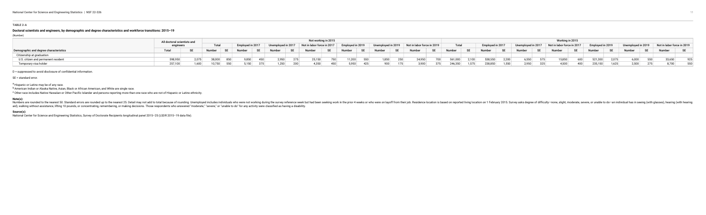#### **TABLE 2-A**

#### **Doctoral scientists and engineers, by demographic and degree characteristics and workforce transitions: 2015–19**

(Number)

|                                        | All doctoral scientists and |       |            |       |     |       |     | Not working in 2015                                                                                                                     |     |       |              |             |        |                   |       |                  |               |       |     |                                                                                                              | Working in 2015 |         |       |       |        |     |
|----------------------------------------|-----------------------------|-------|------------|-------|-----|-------|-----|-----------------------------------------------------------------------------------------------------------------------------------------|-----|-------|--------------|-------------|--------|-------------------|-------|------------------|---------------|-------|-----|--------------------------------------------------------------------------------------------------------------|-----------------|---------|-------|-------|--------|-----|
|                                        | engineers                   |       | Total      |       |     |       |     | Employed in 2017   Unemployed in 2017   Not in labor force in 2017   Employed in 2019   Unemployed in 2019   Not in labor force in 2019 |     |       |              |             |        | Total             |       | Employed in 2017 |               |       |     | Unemployed in 2017 Not in labor force in 2017 Employed in 2019 Unemployed in 2019 Not in labor force in 2019 |                 |         |       |       |        |     |
| Demographic and degree characteristics |                             |       |            |       |     |       |     | Number SE Number SE Number SE Number SE Number SE Number SE Number SE Number                                                            |     |       |              |             |        |                   |       |                  |               |       |     | SE Number SE Number SE Number SE Number SE Number SE Number SE Number SE Number SE Number SE                 |                 |         |       |       |        |     |
| Citizenship at graduation              |                             |       |            |       |     |       |     |                                                                                                                                         |     |       |              |             |        |                   |       |                  |               |       |     |                                                                                                              |                 |         |       |       |        |     |
| U.S. citizen and permanent resident    | 598,950                     |       | 38.000 850 | 9.850 | 450 | 2,950 | 275 | 25,150                                                                                                                                  | 750 |       | $11,200$ 550 | $1,850$ 250 | 24,950 | 700 561,000 2,100 |       |                  | 538,550 2,200 | 6,550 | 575 | 15,850                                                                                                       | 600             | 521,300 | 2.075 | 6,000 | 33,650 | 925 |
| Temporary visa holder                  |                             | 1.600 | 10.750 550 |       |     | 1.250 |     | 4.350                                                                                                                                   | 450 | 5.950 | 425          |             | 3.900  | 375 246.350       | 1.575 | 238,850          | 1,550         | 2,950 | 325 | 4.500                                                                                                        | 400             | 235,150 |       |       | 8,700  | 550 |

D = suppressed to avoid disclosure of confidential information.

SE = standard error.

a Hispanic or Latino may be of any race.

b American Indian or Alaska Native, Asian, Black or African American, and White are single race.

<sup>c</sup> Other race includes Native Hawaiian or Other Pacific Islander and persons reporting more than one race who are not of Hispanic or Latino ethnicity.

#### **Note(s):**

Numbers are rounded to the nearest 50. Standard errors are rounded up to the nearest 25. Detail may not add to total because of rounding. Unemployed includes individuals who were not working during the survey reference wee aid), walking without assistance, lifting 10 pounds, or concentrating, remembering, or making decisions. Those respondents who answered "moderate," "severe," or "unable to do" for any activity were classified as having a d

#### **Source(s):**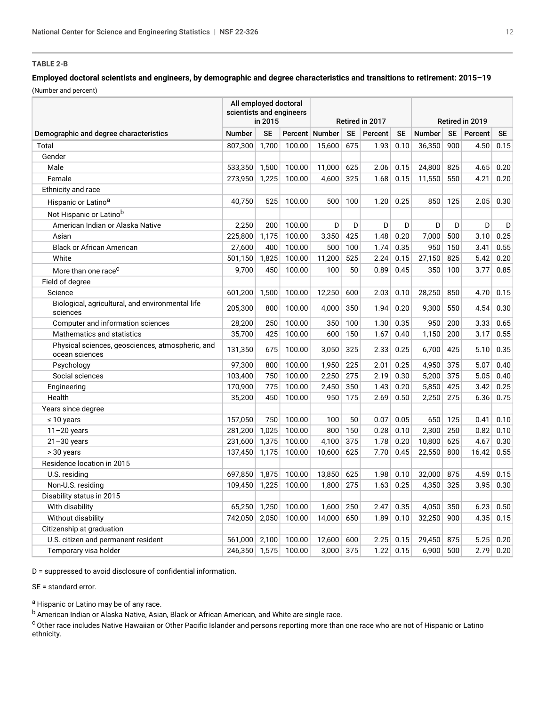#### <span id="page-11-0"></span>**TABLE 2-B**

#### **Employed doctoral scientists and engineers, by demographic and degree characteristics and transitions to retirement: 2015–19** (Number and percent)

|                                                                    | All employed doctoral<br>scientists and engineers | in 2015   |        |                  |           | Retired in 2017 |           |               |           | Retired in 2019 |           |
|--------------------------------------------------------------------|---------------------------------------------------|-----------|--------|------------------|-----------|-----------------|-----------|---------------|-----------|-----------------|-----------|
| Demographic and degree characteristics                             | <b>Number</b>                                     | <b>SE</b> |        | Percent   Number | <b>SE</b> | Percent         | <b>SE</b> | <b>Number</b> | <b>SE</b> | Percent         | <b>SE</b> |
| Total                                                              | 807.300                                           | 1.700     | 100.00 | 15.600           | 675       | 1.93            | 0.10      | 36,350        | 900       | 4.50            | 0.15      |
| Gender                                                             |                                                   |           |        |                  |           |                 |           |               |           |                 |           |
| Male                                                               | 533,350                                           | 1,500     | 100.00 | 11,000           | 625       | 2.06            | 0.15      | 24,800        | 825       | 4.65            | 0.20      |
| Female                                                             | 273,950                                           | 1,225     | 100.00 | 4,600            | 325       | 1.68            | 0.15      | 11,550        | 550       | 4.21            | 0.20      |
| Ethnicity and race                                                 |                                                   |           |        |                  |           |                 |           |               |           |                 |           |
| Hispanic or Latino <sup>a</sup>                                    | 40.750                                            | 525       | 100.00 | 500              | 100       | 1.20            | 0.25      | 850           | 125       | 2.05            | 0.30      |
| Not Hispanic or Latinob                                            |                                                   |           |        |                  |           |                 |           |               |           |                 |           |
| American Indian or Alaska Native                                   | 2,250                                             | 200       | 100.00 | D                | D         | D               | D         | D             | D         | D               | D         |
| Asian                                                              | 225,800                                           | 1,175     | 100.00 | 3,350            | 425       | 1.48            | 0.20      | 7.000         | 500       | 3.10            | 0.25      |
| <b>Black or African American</b>                                   | 27,600                                            | 400       | 100.00 | 500              | 100       | 1.74            | 0.35      | 950           | 150       | 3.41            | 0.55      |
| White                                                              | 501,150                                           | 1,825     | 100.00 | 11,200           | 525       | 2.24            | 0.15      | 27,150        | 825       | 5.42            | 0.20      |
| More than one race <sup>c</sup>                                    | 9,700                                             | 450       | 100.00 | 100              | 50        | 0.89            | 0.45      | 350           | 100       | 3.77            | 0.85      |
| Field of degree                                                    |                                                   |           |        |                  |           |                 |           |               |           |                 |           |
| Science                                                            | 601,200                                           | 1,500     | 100.00 | 12,250           | 600       | 2.03            | 0.10      | 28,250        | 850       | 4.70            | 0.15      |
| Biological, agricultural, and environmental life<br>sciences       | 205.300                                           | 800       | 100.00 | 4.000            | 350       | 1.94            | 0.20      | 9.300         | 550       | 4.54            | 0.30      |
| Computer and information sciences                                  | 28,200                                            | 250       | 100.00 | 350              | 100       | 1.30            | 0.35      | 950           | 200       | 3.33            | 0.65      |
| Mathematics and statistics                                         | 35,700                                            | 425       | 100.00 | 600              | 150       | 1.67            | 0.40      | 1,150         | 200       | 3.17            | 0.55      |
| Physical sciences, geosciences, atmospheric, and<br>ocean sciences | 131,350                                           | 675       | 100.00 | 3,050            | 325       | 2.33            | 0.25      | 6,700         | 425       | 5.10            | 0.35      |
| Psychology                                                         | 97,300                                            | 800       | 100.00 | 1,950            | 225       | 2.01            | 0.25      | 4,950         | 375       | 5.07            | 0.40      |
| Social sciences                                                    | 103,400                                           | 750       | 100.00 | 2,250            | 275       | 2.19            | 0.30      | 5,200         | 375       | 5.05            | 0.40      |
| Engineering                                                        | 170,900                                           | 775       | 100.00 | 2,450            | 350       | 1.43            | 0.20      | 5,850         | 425       | 3.42            | 0.25      |
| Health                                                             | 35,200                                            | 450       | 100.00 | 950              | 175       | 2.69            | 0.50      | 2,250         | 275       | 6.36            | 0.75      |
| Years since degree                                                 |                                                   |           |        |                  |           |                 |           |               |           |                 |           |
| $\leq 10$ years                                                    | 157.050                                           | 750       | 100.00 | 100              | 50        | 0.07            | 0.05      | 650           | 125       | 0.41            | 0.10      |
| $11 - 20$ years                                                    | 281,200                                           | 1,025     | 100.00 | 800              | 150       | 0.28            | 0.10      | 2,300         | 250       | 0.82            | 0.10      |
| $21 - 30$ years                                                    | 231,600                                           | 1,375     | 100.00 | 4,100            | 375       | 1.78            | 0.20      | 10,800        | 625       | 4.67            | 0.30      |
| > 30 years                                                         | 137,450                                           | 1,175     | 100.00 | 10,600           | 625       | 7.70            | 0.45      | 22,550        | 800       | 16.42           | 0.55      |
| Residence location in 2015                                         |                                                   |           |        |                  |           |                 |           |               |           |                 |           |
| U.S. residing                                                      | 697,850                                           | 1,875     | 100.00 | 13,850           | 625       | 1.98            | 0.10      | 32,000        | 875       | 4.59            | 0.15      |
| Non-U.S. residing                                                  | 109,450                                           | 1,225     | 100.00 | 1,800            | 275       | 1.63            | 0.25      | 4,350         | 325       | 3.95            | 0.30      |
| Disability status in 2015                                          |                                                   |           |        |                  |           |                 |           |               |           |                 |           |
| With disability                                                    | 65,250                                            | 1,250     | 100.00 | 1.600            | 250       | 2.47            | 0.35      | 4.050         | 350       | 6.23            | 0.50      |
| Without disability                                                 | 742,050                                           | 2,050     | 100.00 | 14,000           | 650       | 1.89            | 0.10      | 32,250        | 900       | 4.35            | 0.15      |
| Citizenship at graduation                                          |                                                   |           |        |                  |           |                 |           |               |           |                 |           |
| U.S. citizen and permanent resident                                | 561,000                                           | 2,100     | 100.00 | 12,600           | 600       | 2.25            | 0.15      | 29,450        | 875       | 5.25            | 0.20      |
| Temporary visa holder                                              | 246,350 1,575                                     |           | 100.00 | 3,000            | 375       | 1.22            | 0.15      | 6,900         | 500       | 2.79            | 0.20      |

D = suppressed to avoid disclosure of confidential information.

SE = standard error.

a Hispanic or Latino may be of any race.

b American Indian or Alaska Native, Asian, Black or African American, and White are single race.

c Other race includes Native Hawaiian or Other Pacific Islander and persons reporting more than one race who are not of Hispanic or Latino ethnicity.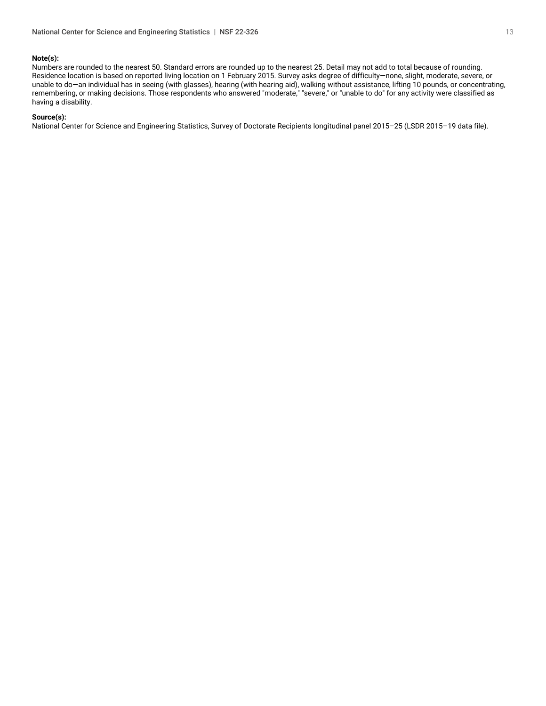#### **Note(s):**

Numbers are rounded to the nearest 50. Standard errors are rounded up to the nearest 25. Detail may not add to total because of rounding. Residence location is based on reported living location on 1 February 2015. Survey asks degree of difficulty—none, slight, moderate, severe, or unable to do—an individual has in seeing (with glasses), hearing (with hearing aid), walking without assistance, lifting 10 pounds, or concentrating, remembering, or making decisions. Those respondents who answered "moderate," "severe," or "unable to do" for any activity were classified as having a disability.

#### **Source(s):**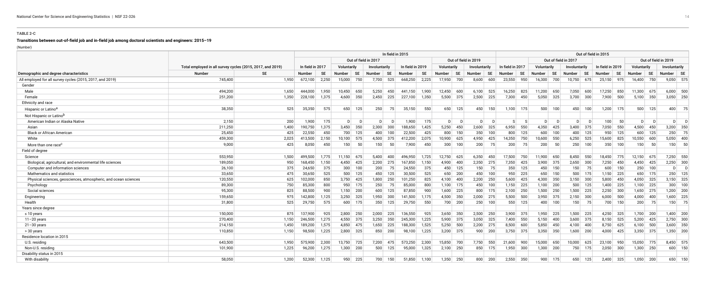#### **TABLE 2-C**

#### **Transitions between out-of-field job and in-field job among doctoral scientists and engineers: 2015–19**

(Number)

<span id="page-13-0"></span>

|                                                                 |                                                            |           |                  |           |               |              |                      |             | In field in 2015 |           |               |                      |                      |           |                  |             |               |           |                      |             | Out of field in 2015 |           |             |           |                      |         |
|-----------------------------------------------------------------|------------------------------------------------------------|-----------|------------------|-----------|---------------|--------------|----------------------|-------------|------------------|-----------|---------------|----------------------|----------------------|-----------|------------------|-------------|---------------|-----------|----------------------|-------------|----------------------|-----------|-------------|-----------|----------------------|---------|
|                                                                 |                                                            |           |                  |           |               |              | Out of field in 2017 |             |                  |           |               | Out of field in 2019 |                      |           |                  |             |               |           | Out of field in 2017 |             |                      |           |             |           | Out of field in 2019 |         |
|                                                                 | Total employed in all survey cycles (2015, 2017, and 2019) |           | In field in 2017 |           | Voluntarily   |              | Involuntarily        |             | In field in 2019 |           | Voluntarily   |                      | <b>Involuntarily</b> |           | In field in 2017 |             | Voluntarily   |           | <b>Involuntarily</b> |             | In field in 2019     |           | Voluntarily |           | Involuntarily        |         |
| Demographic and degree characteristics                          | <b>Number</b>                                              | <b>SE</b> | <b>Number</b>    | <b>SE</b> | <b>Number</b> | <b>SE</b>    | <b>Number</b>        | <b>SE</b>   | <b>Number</b>    | <b>SE</b> | <b>Number</b> | SE                   | <b>Number</b>        | <b>SE</b> | <b>Number</b>    | <b>SE</b>   | <b>Number</b> | <b>SE</b> | <b>Number</b>        | <b>SE</b>   | Number               | <b>SE</b> | Number      | <b>SE</b> | Number   SE          |         |
| All employed for all survey cycles (2015, 2017, and 2019)       | 745,400                                                    | 1,950     | 672,100          | 2,250     | 15,000        | 750          | 7,700                | 525         | 668,250          | 2,225     | 17,950        | 700                  | 8,600                | 600       | 23,550           | 950         | 16,300        | 700       | 10,750               | 675         | 25,150 975           |           | 16,400      | 750       | $9,050$ 575          |         |
| Gender                                                          |                                                            |           |                  |           |               |              |                      |             |                  |           |               |                      |                      |           |                  |             |               |           |                      |             |                      |           |             |           |                      |         |
| Male                                                            | 494,200                                                    | 1,650     | 444,000          | 1,950     | 10,450        | 650          | 5,250                | 450         | 441,150          | 1,900     | 12,450        | 600                  | 6,100                | 525       | 16,250           | 825         | 11,200        | 650       | 7,050                | 600         | 17,250               | 850       | 11,300 675  |           | $6,000$ 500          |         |
| Female                                                          | 251,200                                                    | 1,350     | 228,100          | 1,375     |               | 4,600 350    |                      | $2,450$ 225 | 227,100          | 1,350     |               | $5,500$ 375          | $2,500$ 225          |           | 7,300            | 450         | $5,050$ 325   |           | $3,700$ 300          |             | 7,900                | 500       | $5,100$ 350 |           | $3,050$ 250          |         |
| Ethnicity and race                                              |                                                            |           |                  |           |               |              |                      |             |                  |           |               |                      |                      |           |                  |             |               |           |                      |             |                      |           |             |           |                      |         |
| Hispanic or Latino <sup>a</sup>                                 | 38,350                                                     | 525       | 35,350           | 575       | 650           | 125          | 250                  | 75          | 35,150           | 550       |               | 650 125              | 450                  | 150       |                  | $1,100$ 175 | 500           | 100       | 450                  | 100         | 1,200                | 175       | 500         | 125       | 400                  | 75      |
| Not Hispanic or Latinob                                         |                                                            |           |                  |           |               |              |                      |             |                  |           |               |                      |                      |           |                  |             |               |           |                      |             |                      |           |             |           |                      |         |
| American Indian or Alaska Native                                | 2,150                                                      | 200       | 1,900            | 175       | $\mathsf{D}$  | $\mathsf{D}$ | $\mathsf{D}$         |             | 1,900            | 175       | $\mathsf{D}$  | D                    | D                    | D.        | -S I             |             | $\mathsf{D}$  | $\Box$    | $\mathsf{D}$         |             | 100                  | 50        | D           | D.        | $\mathsf{D}$         |         |
| Asian                                                           | 211,250                                                    | 1,400     | 190,750          | 1,375     | 3,450         | 350          | 2,300                | 300         | 188,650          | 1,425     | 5,250         | 450                  | 2,600                | 325       | 6,950            | 550         | 4,350         | 425       | 3,400                | 375         | 7,050                | 550       | 4,500       | 450       | 3,200                | 350     |
| <b>Black or African American</b>                                | 25,450                                                     | 425       | 22,550           | 450       | 700           | 125          | 400                  | 100         | 22,500           | 425       | 800           | 150                  | 350                  | 100       | 800              | 125         | 600           | 100       | 400                  | 125         | 950                  | 125       | 600         | 125       | 250                  | 75      |
| White                                                           | 459,300                                                    | 2,025     | 413,500          | 2,150     | 10,100        | 575          | 4,500                | 375         | 412,200          | 2,075     | 10,900        | 625                  | 4,950                | 425       | 14,350           | 750         | 10,600        | 550       |                      | $6,250$ 525 | 15,600               | 825       | 10,550      | 600       | 5,050                | 400     |
| More than one race <sup>c</sup>                                 | 9,000                                                      | 425       | 8,050            | 450       | 150           | 50           | 150                  | 50          | 7,900            | 450       | 300           | 100                  | 200                  | 75        | 200              | 75          | 200           | 50        | 250                  | 100         | 350                  | 100       | 150         | - 50      | 150                  | 50      |
| Field of degree                                                 |                                                            |           |                  |           |               |              |                      |             |                  |           |               |                      |                      |           |                  |             |               |           |                      |             |                      |           |             |           |                      |         |
| Science                                                         | 553,950                                                    | 1,500     | 499,500          | 1.775     |               | 11,150 675   |                      | 5,400 400   | 496,950          | 1,725     | 12,750 625    |                      | $6,350$ 450          |           | 17,500 750       |             | 11,900 650    |           | 8,450 550            |             | 18,450 775           |           | 12,150 675  |           | 7,250 550            |         |
| Biological, agricultural, and environmental life sciences       | 189,050                                                    | 950       | 168,450          | 1,150     |               | 4,450 425    |                      | $2,200$ 275 | 167,850          | 1,150     | 4,900         | 400                  | $2,350$ 275          |           | 7,350            | 425         | $3,900$ 375   |           | $2,650$ 300          |             | 7,250                | 450       | $4,450$ 425 |           | $2,250$ 300          |         |
| Computer and information sciences                               | 26,100                                                     | 375       | 24,650           | 375       | 300           | 100          | 200                  |             | 24,550           | 375       |               | 450 125              | 150                  | 75        | 350              | 125         | 450           | 150       | 150                  | 75          | 600                  | 150       |             | $250$ 100 | $\overline{D}$       | $\Box$  |
| Mathematics and statistics                                      | 33,650                                                     | 475       | 30,650           | 525       | 500           | 125          | 450                  | 125         | 30,500           | 525       | 650           | 200                  | 450                  | 100       | 950              | 225         | 650           | 150       |                      | 500 175     | $1,150$ 225          |           |             | 650 175   | 250                  | 125     |
| Physical sciences, geosciences, atmospheric, and ocean sciences | 120,550                                                    | 625       | 102,000          | 850       |               | $3,750$ 425  |                      | $1,800$ 250 | 101,250          | 825       |               | 4,100 400            | $2,200$ 250          |           |                  | $5,600$ 425 | 4,300 350     |           | $3,150$ 300          |             | 5,800                | 450       | $4,050$ 325 |           | $3,150$ 325          |         |
| Psychology                                                      | 89,300                                                     | 750       | 85,300           | 800       | 950           | 175          | 250                  | 75          | 85,000           | 800       |               | $1,100$ 175          |                      | 450 100   |                  | $1,150$ 225 | $1,100$ 200   |           |                      | $500$ 125   | 1,400                | 225       | $1,100$ 225 |           | 300                  | 100     |
| Social sciences                                                 | 95,300                                                     | 825       | 88,500           | 900       |               | $1,150$ 200  |                      | $600$ 125   | 87,850           | 900       |               | $1,600$ 225          |                      | 800 175   |                  | $2,100$ 250 | $1,500$ 250   |           |                      | $1,500$ 225 | $2,250$ 300          |           | $1,650$ 275 |           | $1,200$ 200          |         |
| Engineering                                                     | 159,650                                                    | 975       | 142,800          | 1,125     | 3,250         | 325          |                      | $1,950$ 300 | 141,500          | 1,175     |               | 4,500 350            | $2,000$ 275          |           |                  | $5,500$ 500 | $3,950$ 375   |           | $2,150$ 300          |             | 6,000                | 500       | $4,000$ 400 |           | $1,600$ 225          |         |
| Health                                                          | 31,800                                                     | 525       | 29,750           | 575       | 600           | 175          | 350                  | 125         | 29,750           | 550       |               | 700 200              |                      | $250$ 100 | 550              | 125         |               | 400 100   | 150                  | 75          |                      | 700 150   | 200         | 75        | 150                  | 75      |
| Years since degree                                              |                                                            |           |                  |           |               |              |                      |             |                  |           |               |                      |                      |           |                  |             |               |           |                      |             |                      |           |             |           |                      |         |
| $\leq 10$ years                                                 | 150,000                                                    | 875       | 137,900          | 925       | 2,800         | 250          | 2.000                | 225         | 136,550          | 925       |               | $3,650$ 350          | $2,500$ 250          |           |                  | $3.900$ 375 | $1,950$ 225   |           | 1,500 225            |             | 4,250                | - 325     | 1,700 200   |           | $1,400$ 200          |         |
| $11 - 20$ years                                                 | 270,400                                                    | 1,150     | 246,500          | 1,275     | 4,550         | 375          | 3,250                | 350         | 245,300          | 1,225     |               | $5,900$ 375          | $3,050$ 325          |           |                  | 7,400 550   | 5,150         | 400       |                      | $3,600$ 375 | 8,150                | 525       | $5,200$ 425 |           | $2,750$ 300          |         |
| $21 - 30$ years                                                 | 214,150                                                    | 1,450     | 189,200          | 1,575     | 4,850         | 475          | 1,650                | 225         | 188,300          | 1,525     | 5,250         | 500                  | $2,200$ 275          |           | 8,500            | 600         | 5,850         | 450       | 4,100                | 400         | 8,750                | 625       | $6,100$ 500 |           | $3,600$ 350          |         |
| > 30 years                                                      | 110,850                                                    | 1,150     | 98,500           | 1,225     |               | $2,800$ 325  | 850                  | 200         | 98,100           | 1,225     |               | $3,200$ 375          |                      | 900   200 | 3,750            | 375         | $3,350$ 350   |           | 1,600                | 200         | 4,000                | 425       | $3,350$ 375 |           | $1,350$ 200          |         |
| Residence location in 2015                                      |                                                            |           |                  |           |               |              |                      |             |                  |           |               |                      |                      |           |                  |             |               |           |                      |             |                      |           |             |           |                      |         |
| U.S. residing                                                   | 643,500                                                    | 1,950     | 575,900          | 2.300     | 13,750        | 725          | 7,200                | 475         | 573,250          | 2,300     | 15,850 700    |                      | 7,750                | 550       | $21,600$ 900     |             | 15,000        | 650       | 10,000               | 625         | 23,100               | 950       | 15,050 775  |           | 8,450 575            |         |
| Non-U.S. residing                                               | 101,900                                                    | 1,225     | 96,200           | 1,275     |               | $1,300$ 200  | 500                  | 125         | 95,000           | 1,325     | $2,100$ 250   |                      |                      | 850 175   | 1,950            | 300         | $1,300$ 200   |           | 750                  | 175         | 2,050                | 300       | $1,300$ 250 |           |                      | 600 150 |
| Disability status in 2015                                       |                                                            |           |                  |           |               |              |                      |             |                  |           |               |                      |                      |           |                  |             |               |           |                      |             |                      |           |             |           |                      |         |
| With disability                                                 | 58,050                                                     | 1.200     | 52,300           | 1,125     | 950           | 225          | 700                  | 150         | 51,850           | 1,100     |               | $1,350$ 250          | 800                  | 200       | 2,550            | 350         | 900           | 175       | 650                  | 125         | 2,400                | 325       | $1,050$ 200 |           | 650                  | 150     |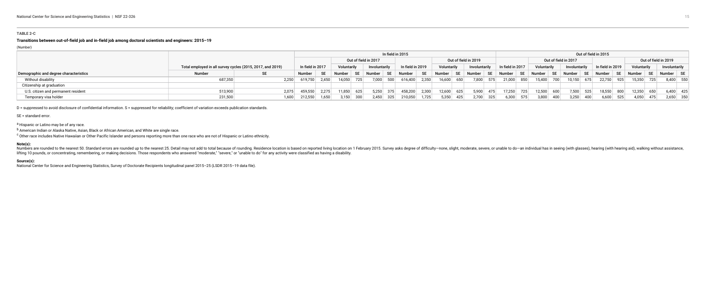#### **TABLE 2-C**

#### **Transitions between out-of-field job and in-field job among doctoral scientists and engineers: 2015–19**

(Number)

|                                        |                                                            |       |                  |           |                                    |            |                      |     | In field in 2015 |                            |     |                      |     |                                                                                                      |     |             |      |                      |     | Out of field in 2015    |     |             |     |                      |  |
|----------------------------------------|------------------------------------------------------------|-------|------------------|-----------|------------------------------------|------------|----------------------|-----|------------------|----------------------------|-----|----------------------|-----|------------------------------------------------------------------------------------------------------|-----|-------------|------|----------------------|-----|-------------------------|-----|-------------|-----|----------------------|--|
|                                        |                                                            |       |                  |           |                                    |            | Out of field in 2017 |     |                  |                            |     | Out of field in 2019 |     |                                                                                                      |     |             |      | Out of field in 2017 |     |                         |     |             |     | Out of field in 2019 |  |
|                                        | Total employed in all survey cycles (2015, 2017, and 2019) |       | In field in 2017 |           | Voluntarily                        |            | Involuntarily        |     | In field in 2019 | Voluntarily                |     | Involuntarily        |     | In field in 2017                                                                                     |     | Voluntarily |      | Involuntarily        |     | In field in 2019        |     | Voluntarily |     | Involuntarily        |  |
| Demographic and degree characteristics | Number                                                     |       | Number           | <b>SE</b> | Number   SE   Number   SE   Number |            |                      |     |                  | SE Number                  |     |                      |     | SE   Number   SE   Number   SE   Number   SE   Number   SE   Number   SE   Number   SE   Number   SE |     |             |      |                      |     |                         |     |             |     |                      |  |
| Without disability                     | 687,350                                                    | 2.250 | 619,750 2,450    |           | 14,050                             | $\sim$ 725 | 7,000                | 500 |                  | $616,400$ 2,350 16,600 650 |     |                      |     | 7,800 575 21,000 850                                                                                 |     | 15,400 700  |      |                      |     | $10,150$ 675 22,750 925 |     | 15,350 725  |     | 8,400 550            |  |
| Citizenship at graduation              |                                                            |       |                  |           |                                    |            |                      |     |                  |                            |     |                      |     |                                                                                                      |     |             |      |                      |     |                         |     |             |     |                      |  |
| U.S. citizen and permanent resident    | 513,900                                                    | 2.075 | 459,550          | 2,275     | 11,850                             | 625        | 5,250                | 375 | 458,200 2,300    | 12,600                     | 625 | 5,900                | 475 | 17,250                                                                                               |     | 12,500      | 600  | 7,500                | 525 | 18,550                  | 800 | 12.350      | 650 | $6,400$ 425          |  |
| Temporary visa holder                  | 231,500                                                    | 1,600 | 212,550          | 1,650     | 3,150                              | 300        | 2,450                | 325 | $210,050$ 1,725  | 5,350                      | 425 | 2,700                | 325 |                                                                                                      | 575 | 3,800       | 400⊺ | 3,250                |     | 6,600                   | 525 | 4,050       |     | $2,650$ 350          |  |

D = suppressed to avoid disclosure of confidential information. S = suppressed for reliability; coefficient of variation exceeds publication standards.

Numbers are rounded to the nearest 50. Standard errors are rounded up to the nearest 25. Detail may not add to total because of rounding. Residence location is based on reported living location on 1 February 2015. Survey a lifting 10 pounds, or concentrating, remembering, or making decisions. Those respondents who answered "moderate," "severe," or "unable to do" for any activity were classified as having a disability.

#### SE = standard error.

a Hispanic or Latino may be of any race.

b American Indian or Alaska Native, Asian, Black or African American, and White are single race.

<sup>c</sup> Other race includes Native Hawaiian or Other Pacific Islander and persons reporting more than one race who are not of Hispanic or Latino ethnicity.

#### **Note(s):**

#### **Source(s):**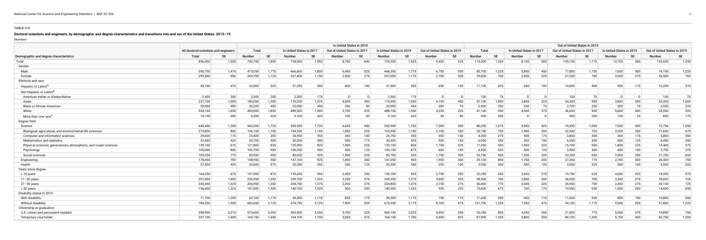#### **TABLE 2-D**

#### **Doctoral scientists and engineers, by demographic and degree characteristics and transitions into and out of the United States: 2015–19**

(Number)

<span id="page-15-0"></span>

|                                                                 |                                       |           |         |       |                          |           | In United States in 2015     |           |                          |           |                              |           |               |       |                          |           | Out of United States in 2015 |           |                          |           |                              |           |
|-----------------------------------------------------------------|---------------------------------------|-----------|---------|-------|--------------------------|-----------|------------------------------|-----------|--------------------------|-----------|------------------------------|-----------|---------------|-------|--------------------------|-----------|------------------------------|-----------|--------------------------|-----------|------------------------------|-----------|
|                                                                 | All doctoral scientists and engineers |           | Total   |       | In United States in 2017 |           | Out of United States in 2017 |           | In United States in 2019 |           | Out of United States in 2019 |           | Total         |       | In United States in 2017 |           | Out of United States in 2017 |           | In United States in 2019 |           | Out of United States in 2019 |           |
| Demographic and degree characteristics                          | <b>Total</b>                          | <b>SE</b> | Number  | SE    | Number                   | <b>SE</b> | Number                       | <b>SE</b> | Number                   | <b>SF</b> | Number                       | <b>SE</b> | <b>Number</b> | SE    | Number                   | <b>SE</b> | Number                       | <b>SE</b> | Number                   | <b>SE</b> | Number                       | <b>SE</b> |
| Total                                                           | 856,050                               | 1,500     | 742,750 | 1,850 | 734,000                  | 1,950     | 8,750                        | 600       | 733,300                  | 1,925     | 9,450                        | 525       | 113,300       | 1,250 | 8,150                    | 500       | 105,150                      | 1,175     | 10,700                   | 550       | 102,600                      | 1,250     |
| Gender                                                          |                                       |           |         |       |                          |           |                              |           |                          |           |                              |           |               |       |                          |           |                              |           |                          |           |                              |           |
| Male                                                            | 556,750                               | 1,475     | 473,050 | 1,775 | 466,600                  | 1,800     | 6,450                        | 525       | 466,300                  | 1,775     | 6,750                        | 500       | 83,700        | 1,225 | 5,850                    | 450       | 77,850                       | 1,150     | 7,600                    | 500       | 76,100                       | 1,225     |
| Female                                                          | 299,300                               | 950       | 269,700 | 1,125 | 267,400                  | 1,150     | 2,300                        | 275       | 267,000                  | 1,175     | 2,700                        | 300       | 29,600        | 700   | 2,300                    | 225       | 27,250                       | 700       | 3,050                    | 275       | 26,500                       | 700       |
| Ethnicity and race                                              |                                       |           |         |       |                          |           |                              |           |                          |           |                              |           |               |       |                          |           |                              |           |                          |           |                              |           |
| Hispanic or Latino <sup>a</sup>                                 | 43,100                                | 475       | 32,000  | 525   | 31,350                   | 550       | 600                          | 100       | 31,300                   | 550       | 650                          | 100       | 11,100        | 425   | 650                      | 100       | 10,500                       | 400       | 950                      | 175       | 10,200                       | 375       |
| Not Hispanic or Latino <sup>r</sup>                             |                                       |           |         |       |                          |           |                              |           |                          |           |                              |           |               |       |                          |           |                              |           |                          |           |                              |           |
| American Indian or Alaska Native                                | 2,450                                 | 200       | 2,300   | 200   | 2,300                    | 175       |                              |           | 2,300                    | 175       |                              |           | 100           | 75    | $\Box$                   | $\Gamma$  | 100                          | 75        |                          |           | 100                          | 75        |
| Asian                                                           | 237,150                               | 1,000     | 180,050 | 1,300 | 176,050                  | 1,375     | 4,050                        | 450       | 175,900                  | 1,350     | 4,150                        | 450       | 57,100        | 1,000 | 2,850                    | 325       | 54,300                       | 950       | 3,800                    | 350       | 53,300                       | 1,000     |
| <b>Black or African American</b>                                | 29,050                                | 400       | 26,200  | 450   | 25,950                   | 450       | 250                          | 50        | 25,900                   | 450       | 300                          | 75        | 2,900         | 250   | 200                      | 75        | 2,700                        | 250       | 300                      | 75        | 2,550                        | 225       |
| White                                                           | 534,100                               | 1,650     | 493,000 | 1,850 | 489,300                  | 1,900     | 3,700                        | 325       | 488,750                  | 900, 1    | 4,250                        | 325       | 41,100        | 950   | 4,450                    | 375       | 36,650                       | 900       | 5,600                    | 400       | 35,550                       | 925       |
| More than one race <sup>c</sup>                                 | 10,150                                | 450       | 9,200   | 425   | 9,100                    | 425       | 100                          | 50        | 9,150                    | 425       | 50                           | 50        | 950           | 200   | D                        |           | 900                          | 200       | 100                      | 25        | 850                          | 175       |
| Degree field                                                    |                                       |           |         |       |                          |           |                              |           |                          |           |                              |           |               |       |                          |           |                              |           |                          |           |                              |           |
| Science                                                         | 640,450                               | 1,350     | 560,200 | 1,725 | 553,550                  | 1,725     | 6,650                        | 450       | 552,900                  | 1,750     | 7,300                        | 450       | 80,250        | 1,075 | 5,900                    | 425       | 74,300                       | 1,050     | 7,500                    | 450       | 72,750                       | 1,050     |
| Biological, agricultural, and environmental life sciences       | 219,850                               | 800       | 196,100 | 1,100 | 194,250                  | 1,100     | 1,850                        | 225       | 193,950                  | 1,150     | 2,100                        | 250       | 23,750        | 750   | 1,400                    | 200       | 22,350                       | 725       | 2,050                    | 250       | 21,650                       | 675       |
| Computer and information sciences                               | 29,600                                | 175       | 25,300  | 300   | 24,950                   | 350       | 350                          | 100       | 24,750                   | 350       | 550                          | 150       | 4,300         | 275   | 450                      | 175       | 3,850                        | 300       | 500                      | 175       | 3,800                        | 300       |
| Mathematics and statistics                                      | 37,650                                | 425       | 30,700  | 500   | 30,200                   | 500       | 550                          | 175       | 30,200                   | 525       | 550                          | 150       | 6,950         | 350   | 550                      | 150       | 6,350                        | 350       | 500                      | 125       | 6,450                        | 350       |
| Physical sciences, geosciences, atmospheric, and ocean sciences | 139,100                               | 675       | 121,800 | 825   | 120,300                  | 825       | 1,500                        | 225       | 120,100                  | 850       | 1,750                        | 225       | 17,250        | 550   | 1,550                    | 225       | 15,700                       | 550       | 1,850                    | 225       | 15,400                       | 575       |
| Psychology                                                      | 105,000                               | 800       | 100,700 | 900   | 100,200                  | 900       | 500                          | 125       | 100,150                  | 875       | 600                          | 150       | 4,300         | 325   | 400                      | 125       | 3,900                        | 300       | 600                      | 150       | 3,700                        | 275       |
| Social sciences                                                 | 109,250                               | 775       | 85,550  | 900   | 83,650                   | 925       | 1,900                        | 225       | 83,750                   | 925       | 1,750                        | 200       | 23,750        | 650   | 1,550                    | 225       | 22,200                       | 650       | 2,000                    | 250       | 21,750                       | 650       |
| Engineering                                                     | 178,050                               | 700       | 148,950 | 900   | 147,100                  | 925       | 1,850                        | 350       | 147,050                  | 900       | 1,900                        | 300       | 29,100        | 800   | 1,750                    | 250       | 27,350                       | 775       | 2,700                    | 300       | 26,400                       | 750       |
| Health                                                          | 37,550                                | 425       | 33,600  | 575   | 33,350                   | 550       | 250                          | 125       | 33,350                   | 550       | 250                          | 100       | 3,950         | 350   | 500                      | 125       | 3,500                        | 325       | 500                      | 150       | 3,500                        | 325       |
| Years since degree                                              |                                       |           |         |       |                          |           |                              |           |                          |           |                              |           |               |       |                          |           |                              |           |                          |           |                              |           |
| $\leq 10$ years                                                 | 164,250                               | 675       | 141,900 | 875   | 139,450                  | 950       | 2,450                        | 250       | 139,100                  | 925       | 2,750                        | 250       | 22,350        | 650   | 2,600                    | 275       | 19,750                       | 625       | 4,000                    | 325       | 18,350                       | 575       |
| $11 - 20$ years                                                 | 291,850                               | 1,000     | 252,950 | 1,250 | 249,700                  | 1,325     | 3,250                        | 375       | 249,350                  | 1,275     | 3,600                        | 325       | 38,900        | 700   | 2,850                    | 300       | 36,050                       | 700       | 3,300                    | 275       | 35,600                       | 725       |
| $21 - 30$ years                                                 | 243,350                               | 1,325     | 206,950 | 1,350 | 204,750                  | 1,375     | 2,200                        | 275       | 204,800                  | 1,375     | 2,150                        | 275       | 36,400        | 775   | 2,000                    | 225       | 34,450                       | 750       | 2,350                    | 275       | 34,100                       | 725       |
| > 30 years                                                      | 156,600                               | 1,225     | 141,000 | 1,300 | 140,100                  | 1,325     | 900                          | 200       | 140,000                  | 1,325     | 950                          | 225       | 15,600        | 675   | 700                      | 175       | 14,950                       | 650       | 1,000                    | 200       | 14,600                       | 650       |
| Disability status in 2015                                       |                                       |           |         |       |                          |           |                              |           |                          |           |                              |           |               |       |                          |           |                              |           |                          |           |                              |           |
| With disability                                                 | 71,700                                | 1,250     | 60,100  | 1,175 | 59,300                   | 1,175     | 850                          | 175       | 59,350                   | 1,175     | 750                          | 175       | 11,600        | 550   | 600                      | 175       | 11,000                       | 550       | 800                      | 150       | 10,800                       | 550       |
| Without disability                                              | 784,350                               | 1,950     | 682,650 | 2,125 | 674,750                  | 2,125     | 7,900                        | 525       | 673,950                  | 2,175     | 8,700                        | 475       | 101,700       | 1,250 | 7,550                    | 475       | 94,150                       | 1,175     | 9,900                    | 525       | 91,800                       | 1,225     |
| Citizenship at graduation                                       |                                       |           |         |       |                          |           |                              |           |                          |           |                              |           |               |       |                          |           |                              |           |                          |           |                              |           |
| U.S. citizen and permanent resident                             | 598,950                               | 2,075     | 573,600 | 2,000 | 569,900                  | 2,050     | 3,700                        | 325       | 569,150                  | 2,025     | 4,450                        | 350       | 25,350        | 800   | 4,350                    | 350       | 21,000                       | 775       | 5,550                    | 375       | 19,850                       | 750       |
| Temporary visa holder                                           | 257,100                               | 1,600     | 169,150 | 1,650 | 164,100                  | 1,700     | 5,050                        | 475       | 164,150                  | 1,700     | 5,050                        | 425       | 87,900        | 1,250 | 3,800                    | 350       | 84,100                       | 1,200     | 5,150                    | 400       | 82,750                       | 1,200     |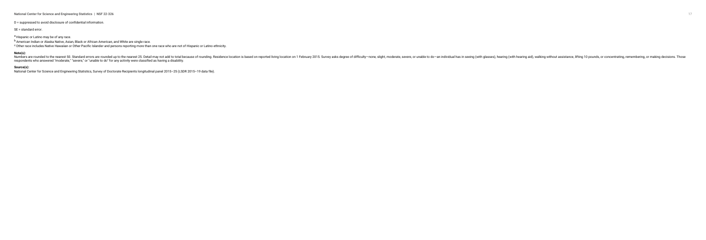17<br>
National Center for Science and Engineering Statistics | NSF 22-326

D = suppressed to avoid disclosure of confidential information.

SE = standard error.

a Hispanic or Latino may be of any race.

b American Indian or Alaska Native, Asian, Black or African American, and White are single race.

<sup>c</sup> Other race includes Native Hawaiian or Other Pacific Islander and persons reporting more than one race who are not of Hispanic or Latino ethnicity.

#### **Note(s):**

Numbers are rounded to the nearest 50. Standard errors are rounded up to the nearest 50. Detail may not add to total because of rounding. Residence location is based on reported living location is based on reported living respondents who answered "moderate," "severe," or "unable to do" for any activity were classified as having a disability.

#### **Source(s):**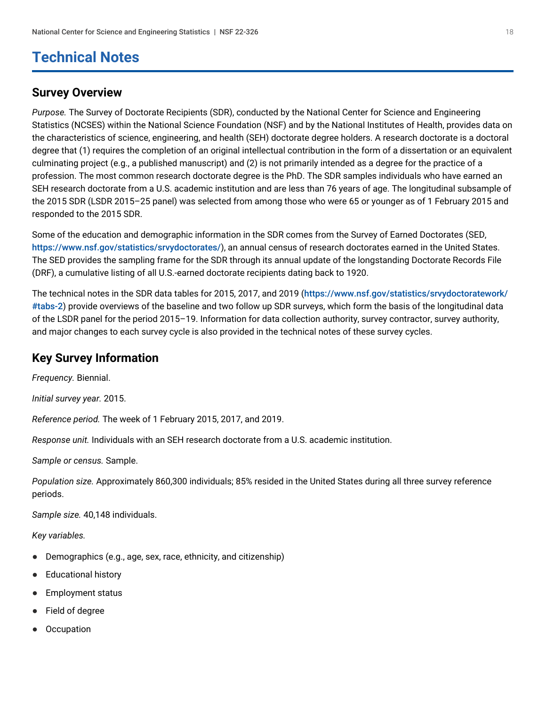## <span id="page-17-0"></span>**Technical Notes**

### **Survey Overview**

*Purpose.* The Survey of Doctorate Recipients (SDR), conducted by the National Center for Science and Engineering Statistics (NCSES) within the National Science Foundation (NSF) and by the National Institutes of Health, provides data on the characteristics of science, engineering, and health (SEH) doctorate degree holders. A research doctorate is a doctoral degree that (1) requires the completion of an original intellectual contribution in the form of a dissertation or an equivalent culminating project (e.g., a published manuscript) and (2) is not primarily intended as a degree for the practice of a profession. The most common research doctorate degree is the PhD. The SDR samples individuals who have earned an SEH research doctorate from a U.S. academic institution and are less than 76 years of age. The longitudinal subsample of the 2015 SDR (LSDR 2015–25 panel) was selected from among those who were 65 or younger as of 1 February 2015 and responded to the 2015 SDR.

Some of the education and demographic information in the SDR comes from the Survey of Earned Doctorates (SED, <https://www.nsf.gov/statistics/srvydoctorates/>), an annual census of research doctorates earned in the United States. The SED provides the sampling frame for the SDR through its annual update of the longstanding Doctorate Records File (DRF), a cumulative listing of all U.S.-earned doctorate recipients dating back to 1920.

The technical notes in the SDR data tables for 2015, 2017, and 2019 ([https://www.nsf.gov/statistics/srvydoctoratework/](https://www.nsf.gov/statistics/srvydoctoratework/#tabs-2) [#tabs-2](https://www.nsf.gov/statistics/srvydoctoratework/#tabs-2)) provide overviews of the baseline and two follow up SDR surveys, which form the basis of the longitudinal data of the LSDR panel for the period 2015–19. Information for data collection authority, survey contractor, survey authority, and major changes to each survey cycle is also provided in the technical notes of these survey cycles.

## **Key Survey Information**

*Frequency.* Biennial.

*Initial survey year.* 2015.

*Reference period.* The week of 1 February 2015, 2017, and 2019.

*Response unit.* Individuals with an SEH research doctorate from a U.S. academic institution.

*Sample or census.* Sample.

*Population size.* Approximately 860,300 individuals; 85% resided in the United States during all three survey reference periods.

*Sample size.* 40,148 individuals.

*Key variables.*

- Demographics (e.g., age, sex, race, ethnicity, and citizenship)
- Educational history ●
- Employment status ●
- Field of degree ●
- **Occupation** ●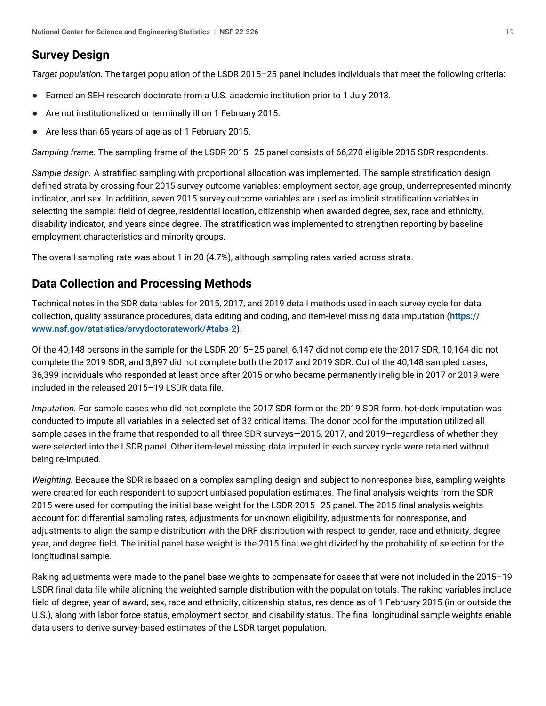## **Survey Design**

*Target population.* The target population of the LSDR 2015–25 panel includes individuals that meet the following criteria:

- Earned an SEH research doctorate from a U.S. academic institution prior to 1 July 2013.
- Are not institutionalized or terminally ill on 1 February 2015.
- Are less than 65 years of age as of 1 February 2015.  $\bullet$

*Sampling frame.* The sampling frame of the LSDR 2015–25 panel consists of 66,270 eligible 2015 SDR respondents.

*Sample design.* A stratified sampling with proportional allocation was implemented. The sample stratification design defined strata by crossing four 2015 survey outcome variables: employment sector, age group, underrepresented minority indicator, and sex. In addition, seven 2015 survey outcome variables are used as implicit stratification variables in selecting the sample: field of degree, residential location, citizenship when awarded degree, sex, race and ethnicity, disability indicator, and years since degree. The stratification was implemented to strengthen reporting by baseline employment characteristics and minority groups.

The overall sampling rate was about 1 in 20 (4.7%), although sampling rates varied across strata.

### **Data Collection and Processing Methods**

Technical notes in the SDR data tables for 2015, 2017, and 2019 detail methods used in each survey cycle for data collection, quality assurance procedures, data editing and coding, and item-level missing data imputation ([https://](https://www.nsf.gov/statistics/srvydoctoratework/#tabs-2) [www.nsf.gov/statistics/srvydoctoratework/#tabs-2](https://www.nsf.gov/statistics/srvydoctoratework/#tabs-2)).

Of the 40,148 persons in the sample for the LSDR 2015–25 panel, 6,147 did not complete the 2017 SDR, 10,164 did not complete the 2019 SDR, and 3,897 did not complete both the 2017 and 2019 SDR. Out of the 40,148 sampled cases, 36,399 individuals who responded at least once after 2015 or who became permanently ineligible in 2017 or 2019 were included in the released 2015–19 LSDR data file.

*Imputation.* For sample cases who did not complete the 2017 SDR form or the 2019 SDR form, hot-deck imputation was conducted to impute all variables in a selected set of 32 critical items. The donor pool for the imputation utilized all sample cases in the frame that responded to all three SDR surveys—2015, 2017, and 2019—regardless of whether they were selected into the LSDR panel. Other item-level missing data imputed in each survey cycle were retained without being re-imputed.

*Weighting.* Because the SDR is based on a complex sampling design and subject to nonresponse bias, sampling weights were created for each respondent to support unbiased population estimates. The final analysis weights from the SDR 2015 were used for computing the initial base weight for the LSDR 2015–25 panel. The 2015 final analysis weights account for: differential sampling rates, adjustments for unknown eligibility, adjustments for nonresponse, and adjustments to align the sample distribution with the DRF distribution with respect to gender, race and ethnicity, degree year, and degree field. The initial panel base weight is the 2015 final weight divided by the probability of selection for the longitudinal sample.

Raking adjustments were made to the panel base weights to compensate for cases that were not included in the 2015–19 LSDR final data file while aligning the weighted sample distribution with the population totals. The raking variables include field of degree, year of award, sex, race and ethnicity, citizenship status, residence as of 1 February 2015 (in or outside the U.S.), along with labor force status, employment sector, and disability status. The final longitudinal sample weights enable data users to derive survey-based estimates of the LSDR target population.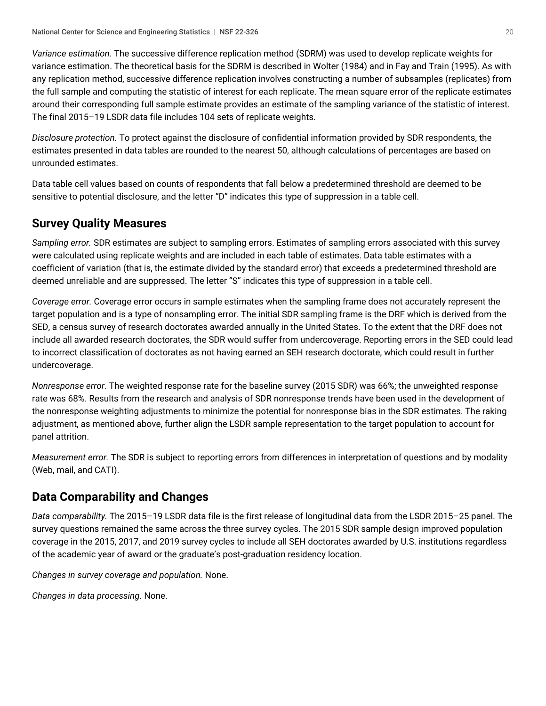*Variance estimation.* The successive difference replication method (SDRM) was used to develop replicate weights for variance estimation. The theoretical basis for the SDRM is described in Wolter (1984) and in Fay and Train (1995). As with any replication method, successive difference replication involves constructing a number of subsamples (replicates) from the full sample and computing the statistic of interest for each replicate. The mean square error of the replicate estimates around their corresponding full sample estimate provides an estimate of the sampling variance of the statistic of interest. The final 2015–19 LSDR data file includes 104 sets of replicate weights.

*Disclosure protection.* To protect against the disclosure of confidential information provided by SDR respondents, the estimates presented in data tables are rounded to the nearest 50, although calculations of percentages are based on unrounded estimates.

Data table cell values based on counts of respondents that fall below a predetermined threshold are deemed to be sensitive to potential disclosure, and the letter "D" indicates this type of suppression in a table cell.

## **Survey Quality Measures**

*Sampling error.* SDR estimates are subject to sampling errors. Estimates of sampling errors associated with this survey were calculated using replicate weights and are included in each table of estimates. Data table estimates with a coefficient of variation (that is, the estimate divided by the standard error) that exceeds a predetermined threshold are deemed unreliable and are suppressed. The letter "S" indicates this type of suppression in a table cell.

*Coverage error.* Coverage error occurs in sample estimates when the sampling frame does not accurately represent the target population and is a type of nonsampling error. The initial SDR sampling frame is the DRF which is derived from the SED, a census survey of research doctorates awarded annually in the United States. To the extent that the DRF does not include all awarded research doctorates, the SDR would suffer from undercoverage. Reporting errors in the SED could lead to incorrect classification of doctorates as not having earned an SEH research doctorate, which could result in further undercoverage.

*Nonresponse error.* The weighted response rate for the baseline survey (2015 SDR) was 66%; the unweighted response rate was 68%. Results from the research and analysis of SDR nonresponse trends have been used in the development of the nonresponse weighting adjustments to minimize the potential for nonresponse bias in the SDR estimates. The raking adjustment, as mentioned above, further align the LSDR sample representation to the target population to account for panel attrition.

*Measurement error.* The SDR is subject to reporting errors from differences in interpretation of questions and by modality (Web, mail, and CATI).

## **Data Comparability and Changes**

*Data comparability.* The 2015–19 LSDR data file is the first release of longitudinal data from the LSDR 2015–25 panel. The survey questions remained the same across the three survey cycles. The 2015 SDR sample design improved population coverage in the 2015, 2017, and 2019 survey cycles to include all SEH doctorates awarded by U.S. institutions regardless of the academic year of award or the graduate's post-graduation residency location.

*Changes in survey coverage and population.* None.

*Changes in data processing.* None.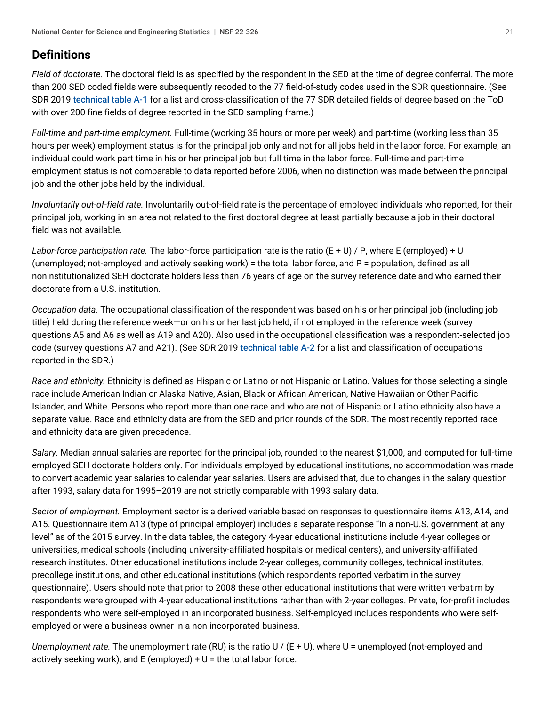## **Definitions**

*Field of doctorate.* The doctoral field is as specified by the respondent in the SED at the time of degree conferral. The more than 200 SED coded fields were subsequently recoded to the 77 field-of-study codes used in the SDR questionnaire. (See SDR 2019 [technical table A-1](https://ncses.nsf.gov/pubs/nsf21320) for a list and cross-classification of the 77 SDR detailed fields of degree based on the ToD with over 200 fine fields of degree reported in the SED sampling frame.)

*Full-time and part-time employment.* Full-time (working 35 hours or more per week) and part-time (working less than 35 hours per week) employment status is for the principal job only and not for all jobs held in the labor force. For example, an individual could work part time in his or her principal job but full time in the labor force. Full-time and part-time employment status is not comparable to data reported before 2006, when no distinction was made between the principal job and the other jobs held by the individual.

*Involuntarily out-of-field rate.* Involuntarily out-of-field rate is the percentage of employed individuals who reported, for their principal job, working in an area not related to the first doctoral degree at least partially because a job in their doctoral field was not available.

*Labor-force participation rate.* The labor-force participation rate is the ratio (E + U) / P, where E (employed) + U (unemployed; not-employed and actively seeking work) = the total labor force, and P = population, defined as all noninstitutionalized SEH doctorate holders less than 76 years of age on the survey reference date and who earned their doctorate from a U.S. institution.

*Occupation data.* The occupational classification of the respondent was based on his or her principal job (including job title) held during the reference week—or on his or her last job held, if not employed in the reference week (survey questions A5 and A6 as well as A19 and A20). Also used in the occupational classification was a respondent-selected job code (survey questions A7 and A21). (See SDR 2019 [technical table A-2](https://ncses.nsf.gov/pubs/nsf21320) for a list and classification of occupations reported in the SDR.)

*Race and ethnicity.* Ethnicity is defined as Hispanic or Latino or not Hispanic or Latino. Values for those selecting a single race include American Indian or Alaska Native, Asian, Black or African American, Native Hawaiian or Other Pacific Islander, and White. Persons who report more than one race and who are not of Hispanic or Latino ethnicity also have a separate value. Race and ethnicity data are from the SED and prior rounds of the SDR. The most recently reported race and ethnicity data are given precedence.

*Salary.* Median annual salaries are reported for the principal job, rounded to the nearest \$1,000, and computed for full-time employed SEH doctorate holders only. For individuals employed by educational institutions, no accommodation was made to convert academic year salaries to calendar year salaries. Users are advised that, due to changes in the salary question after 1993, salary data for 1995–2019 are not strictly comparable with 1993 salary data.

*Sector of employment.* Employment sector is a derived variable based on responses to questionnaire items A13, A14, and A15. Questionnaire item A13 (type of principal employer) includes a separate response "In a non-U.S. government at any level" as of the 2015 survey. In the data tables, the category 4-year educational institutions include 4-year colleges or universities, medical schools (including university-affiliated hospitals or medical centers), and university-affiliated research institutes. Other educational institutions include 2-year colleges, community colleges, technical institutes, precollege institutions, and other educational institutions (which respondents reported verbatim in the survey questionnaire). Users should note that prior to 2008 these other educational institutions that were written verbatim by respondents were grouped with 4-year educational institutions rather than with 2-year colleges. Private, for-profit includes respondents who were self-employed in an incorporated business. Self-employed includes respondents who were selfemployed or were a business owner in a non-incorporated business.

*Unemployment rate.* The unemployment rate (RU) is the ratio U / (E + U), where U = unemployed (not-employed and actively seeking work), and E (employed)  $+ U =$  the total labor force.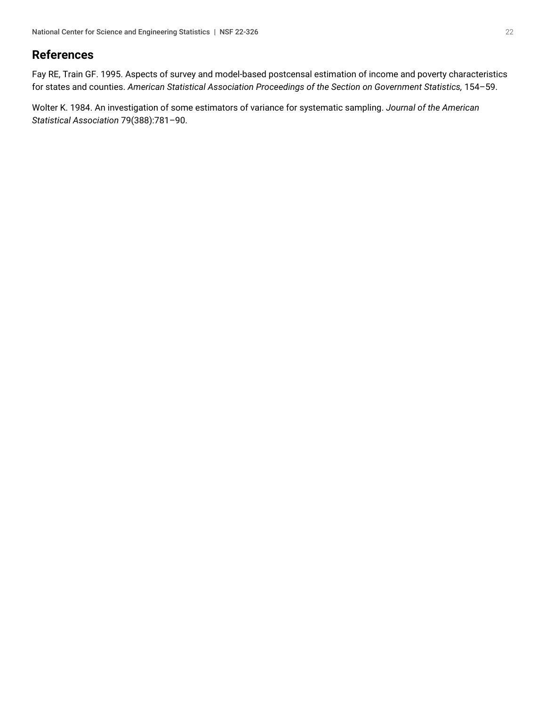### **References**

Fay RE, Train GF. 1995. Aspects of survey and model-based postcensal estimation of income and poverty characteristics for states and counties. *American Statistical Association Proceedings of the Section on Government Statistics,* 154–59.

Wolter K. 1984. An investigation of some estimators of variance for systematic sampling. *Journal of the American Statistical Association* 79(388):781–90.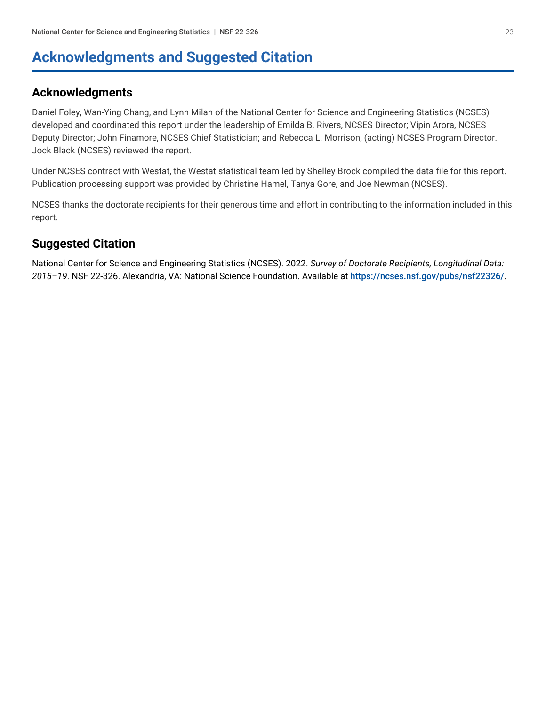## <span id="page-22-0"></span>**Acknowledgments and Suggested Citation**

### **Acknowledgments**

Daniel Foley, Wan-Ying Chang, and Lynn Milan of the National Center for Science and Engineering Statistics (NCSES) developed and coordinated this report under the leadership of Emilda B. Rivers, NCSES Director; Vipin Arora, NCSES Deputy Director; John Finamore, NCSES Chief Statistician; and Rebecca L. Morrison, (acting) NCSES Program Director. Jock Black (NCSES) reviewed the report.

Under NCSES contract with Westat, the Westat statistical team led by Shelley Brock compiled the data file for this report. Publication processing support was provided by Christine Hamel, Tanya Gore, and Joe Newman (NCSES).

NCSES thanks the doctorate recipients for their generous time and effort in contributing to the information included in this report.

## **Suggested Citation**

National Center for Science and Engineering Statistics (NCSES). 2022. *Survey of Doctorate Recipients, Longitudinal Data: 2015–19*. NSF 22-326. Alexandria, VA: National Science Foundation. Available at <https://ncses.nsf.gov/pubs/nsf22326/>.